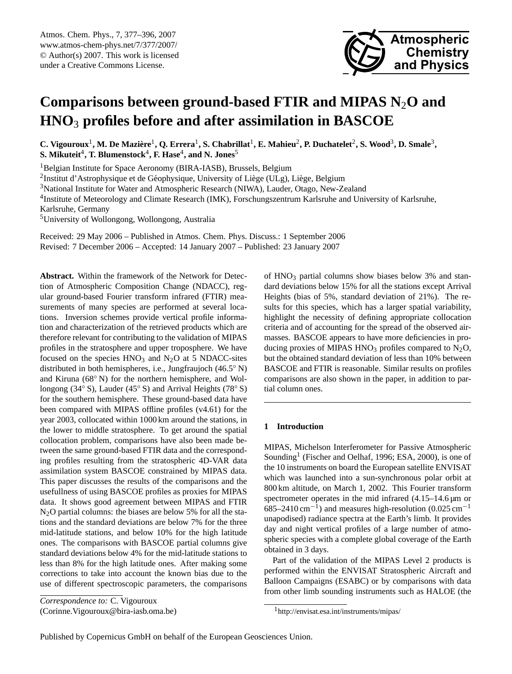<span id="page-0-1"></span>Atmos. Chem. Phys., 7, 377–396, 2007 www.atmos-chem-phys.net/7/377/2007/ © Author(s) 2007. This work is licensed under a Creative Commons License.



# **Comparisons between ground-based FTIR and MIPAS N**2**O and HNO**<sup>3</sup> **profiles before and after assimilation in BASCOE**

 $C$ . Vigouroux<sup>1</sup>, M. De Mazière<sup>1</sup>, Q. Errera<sup>1</sup>, S. Chabrillat<sup>1</sup>, E. Mahieu<sup>2</sup>, P. Duchatelet<sup>2</sup>, S. Wood<sup>3</sup>, D. Smale<sup>3</sup>,  ${\bf S. Mikutei}^4, {\bf T. Blumenstock}^4, {\bf F. Hase}^4, {\bf and N. Jones}^5$ 

<sup>1</sup>Belgian Institute for Space Aeronomy (BIRA-IASB), Brussels, Belgium

<sup>2</sup>Institut d'Astrophysique et de Géophysique, University of Liège (ULg), Liège, Belgium

<sup>3</sup>National Institute for Water and Atmospheric Research (NIWA), Lauder, Otago, New-Zealand

<sup>4</sup>Institute of Meteorology and Climate Research (IMK), Forschungszentrum Karlsruhe and University of Karlsruhe,

Karlsruhe, Germany

<sup>5</sup>University of Wollongong, Wollongong, Australia

Received: 29 May 2006 – Published in Atmos. Chem. Phys. Discuss.: 1 September 2006 Revised: 7 December 2006 – Accepted: 14 January 2007 – Published: 23 January 2007

**Abstract.** Within the framework of the Network for Detection of Atmospheric Composition Change (NDACC), regular ground-based Fourier transform infrared (FTIR) measurements of many species are performed at several locations. Inversion schemes provide vertical profile information and characterization of the retrieved products which are therefore relevant for contributing to the validation of MIPAS profiles in the stratosphere and upper troposphere. We have focused on the species  $HNO<sub>3</sub>$  and  $N<sub>2</sub>O$  at 5 NDACC-sites distributed in both hemispheres, i.e., Jungfraujoch (46.5◦ N) and Kiruna (68◦ N) for the northern hemisphere, and Wollongong (34◦ S), Lauder (45◦ S) and Arrival Heights (78◦ S) for the southern hemisphere. These ground-based data have been compared with MIPAS offline profiles (v4.61) for the year 2003, collocated within 1000 km around the stations, in the lower to middle stratosphere. To get around the spatial collocation problem, comparisons have also been made between the same ground-based FTIR data and the corresponding profiles resulting from the stratospheric 4D-VAR data assimilation system BASCOE constrained by MIPAS data. This paper discusses the results of the comparisons and the usefullness of using BASCOE profiles as proxies for MIPAS data. It shows good agreement between MIPAS and FTIR  $N<sub>2</sub>O$  partial columns: the biases are below 5% for all the stations and the standard deviations are below 7% for the three mid-latitude stations, and below 10% for the high latitude ones. The comparisons with BASCOE partial columns give standard deviations below 4% for the mid-latitude stations to less than 8% for the high latitude ones. After making some corrections to take into account the known bias due to the use of different spectroscopic parameters, the comparisons

*Correspondence to:* C. Vigouroux

(Corinne.Vigouroux@bira-iasb.oma.be)

of  $HNO<sub>3</sub>$  partial columns show biases below 3% and standard deviations below 15% for all the stations except Arrival Heights (bias of 5%, standard deviation of 21%). The results for this species, which has a larger spatial variability, highlight the necessity of defining appropriate collocation criteria and of accounting for the spread of the observed airmasses. BASCOE appears to have more deficiencies in producing proxies of MIPAS  $HNO<sub>3</sub>$  profiles compared to  $N<sub>2</sub>O$ , but the obtained standard deviation of less than 10% between BASCOE and FTIR is reasonable. Similar results on profiles comparisons are also shown in the paper, in addition to partial column ones.

## **1 Introduction**

MIPAS, Michelson Interferometer for Passive Atmospheric Sounding<sup>[1](#page-0-0)</sup> [\(Fischer and Oelhaf,](#page-19-0) [1996;](#page-19-0) [ESA,](#page-19-1) [2000\)](#page-19-1), is one of the 10 instruments on board the European satellite ENVISAT which was launched into a sun-synchronous polar orbit at 800 km altitude, on March 1, 2002. This Fourier transform spectrometer operates in the mid infrared  $(4.15-14.6 \,\text{µm}$  or  $685-2410 \text{ cm}^{-1}$ ) and measures high-resolution (0.025 cm<sup>-1</sup> unapodised) radiance spectra at the Earth's limb. It provides day and night vertical profiles of a large number of atmospheric species with a complete global coverage of the Earth obtained in 3 days.

Part of the validation of the MIPAS Level 2 products is performed within the ENVISAT Stratospheric Aircraft and Balloon Campaigns (ESABC) or by comparisons with data from other limb sounding instruments such as HALOE (the

<span id="page-0-0"></span><sup>1</sup><http://envisat.esa.int/instruments/mipas/>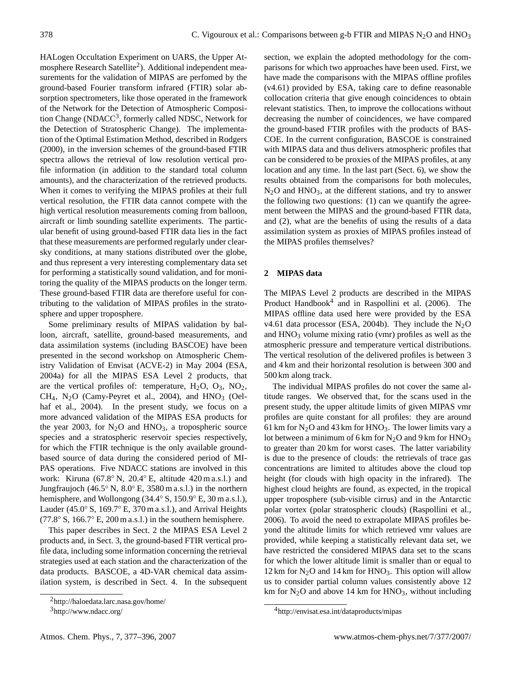HALogen Occultation Experiment on UARS, the Upper At-mosphere Research Satellite<sup>[2](#page-1-0)</sup>). Additional independent measurements for the validation of MIPAS are perfomed by the ground-based Fourier transform infrared (FTIR) solar absorption spectrometers, like those operated in the framework of the Network for the Detection of Atmospheric Composi-tion Change (NDACC<sup>[3](#page-1-1)</sup>, formerly called NDSC, Network for the Detection of Stratospheric Change). The implementation of the Optimal Estimation Method, described in [Rodgers](#page-19-2) [\(2000\)](#page-19-2), in the inversion schemes of the ground-based FTIR spectra allows the retrieval of low resolution vertical profile information (in addition to the standard total column amounts), and the characterization of the retrieved products. When it comes to verifying the MIPAS profiles at their full vertical resolution, the FTIR data cannot compete with the high vertical resolution measurements coming from balloon, aircraft or limb sounding satellite experiments. The particular benefit of using ground-based FTIR data lies in the fact that these measurements are performed regularly under clearsky conditions, at many stations distributed over the globe, and thus represent a very interesting complementary data set for performing a statistically sound validation, and for monitoring the quality of the MIPAS products on the longer term. These ground-based FTIR data are therefore useful for contributing to the validation of MIPAS profiles in the stratosphere and upper troposphere.

Some preliminary results of MIPAS validation by balloon, aircraft, satellite, ground-based measurements, and data assimilation systems (including BASCOE) have been presented in the second workshop on Atmospheric Chemistry Validation of Envisat (ACVE-2) in May 2004 [\(ESA,](#page-19-3) [2004a\)](#page-19-3) for all the MIPAS ESA Level 2 products, that are the vertical profiles of: temperature,  $H_2O$ ,  $O_3$ ,  $NO_2$ , CH<sub>4</sub>, N<sub>2</sub>O [\(Camy-Peyret et al.,](#page-18-0) [2004\)](#page-18-0), and  $HNO<sub>3</sub>$  [\(Oel](#page-19-4)[haf et al.,](#page-19-4) [2004\)](#page-19-4). In the present study, we focus on a more advanced validation of the MIPAS ESA products for the year 2003, for  $N_2O$  and  $HNO_3$ , a tropospheric source species and a stratospheric reservoir species respectively, for which the FTIR technique is the only available groundbased source of data during the considered period of MI-PAS operations. Five NDACC stations are involved in this work: Kiruna (67.8◦ N, 20.4◦ E, altitude 420 m a.s.l.) and Jungfraujoch (46.5◦ N, 8.0◦ E, 3580 m a.s.l.) in the northern hemisphere, and Wollongong (34.4<sup>°</sup> S, 150.9<sup>°</sup> E, 30 m a.s.l.), Lauder (45.0 $\degree$  S, 169.7 $\degree$  E, 370 m a.s.l.), and Arrival Heights (77.8 $\degree$  S, 166.7 $\degree$  E, 200 m a.s.l.) in the southern hemisphere.

This paper describes in Sect. 2 the MIPAS ESA Level 2 products and, in Sect. 3, the ground-based FTIR vertical profile data, including some information concerning the retrieval strategies used at each station and the characterization of the data products. BASCOE, a 4D-VAR chemical data assimilation system, is described in Sect. 4. In the subsequent section, we explain the adopted methodology for the comparisons for which two approaches have been used. First, we have made the comparisons with the MIPAS offline profiles (v4.61) provided by ESA, taking care to define reasonable collocation criteria that give enough coincidences to obtain relevant statistics. Then, to improve the collocations without decreasing the number of coincidences, we have compared the ground-based FTIR profiles with the products of BAS-COE. In the current configuration, BASCOE is constrained with MIPAS data and thus delivers atmospheric profiles that can be considered to be proxies of the MIPAS profiles, at any location and any time. In the last part (Sect. 6), we show the results obtained from the comparisons for both molecules,  $N<sub>2</sub>O$  and HNO<sub>3</sub>, at the different stations, and try to answer the following two questions: (1) can we quantify the agreement between the MIPAS and the ground-based FTIR data, and (2), what are the benefits of using the results of a data assimilation system as proxies of MIPAS profiles instead of the MIPAS profiles themselves?

# <span id="page-1-3"></span>**2 MIPAS data**

The MIPAS Level 2 products are described in the MIPAS Product Handbook<sup>[4](#page-1-2)</sup> and in [Raspollini et al.](#page-19-5) [\(2006\)](#page-19-5). The MIPAS offline data used here were provided by the ESA v4.61 data processor [\(ESA,](#page-19-6) [2004b\)](#page-19-6). They include the  $N_2O$ and  $HNO<sub>3</sub>$  volume mixing ratio (vmr) profiles as well as the atmospheric pressure and temperature vertical distributions. The vertical resolution of the delivered profiles is between 3 and 4 km and their horizontal resolution is between 300 and 500 km along track.

The individual MIPAS profiles do not cover the same altitude ranges. We observed that, for the scans used in the present study, the upper altitude limits of given MIPAS vmr profiles are quite constant for all profiles: they are around 61 km for  $N_2O$  and 43 km for  $HNO_3$ . The lower limits vary a lot between a minimum of 6 km for  $N_2O$  and 9 km for  $HNO_3$ to greater than 20 km for worst cases. The latter variability is due to the presence of clouds: the retrievals of trace gas concentrations are limited to altitudes above the cloud top height (for clouds with high opacity in the infrared). The highest cloud heights are found, as expected, in the tropical upper troposphere (sub-visible cirrus) and in the Antarctic polar vortex (polar stratospheric clouds) [\(Raspollini et al.,](#page-19-5) [2006\)](#page-19-5). To avoid the need to extrapolate MIPAS profiles beyond the altitude limits for which retrieved vmr values are provided, while keeping a statistically relevant data set, we have restricted the considered MIPAS data set to the scans for which the lower altitude limit is smaller than or equal to 12 km for  $N_2O$  and 14 km for  $HNO_3$ . This option will allow us to consider partial column values consistently above 12 km for  $N_2O$  and above 14 km for  $HNO_3$ , without including

<span id="page-1-0"></span><sup>2</sup><http://haloedata.larc.nasa.gov/home/>

<span id="page-1-1"></span><sup>3</sup><http://www.ndacc.org/>

<span id="page-1-2"></span><sup>4</sup><http://envisat.esa.int/dataproducts/mipas>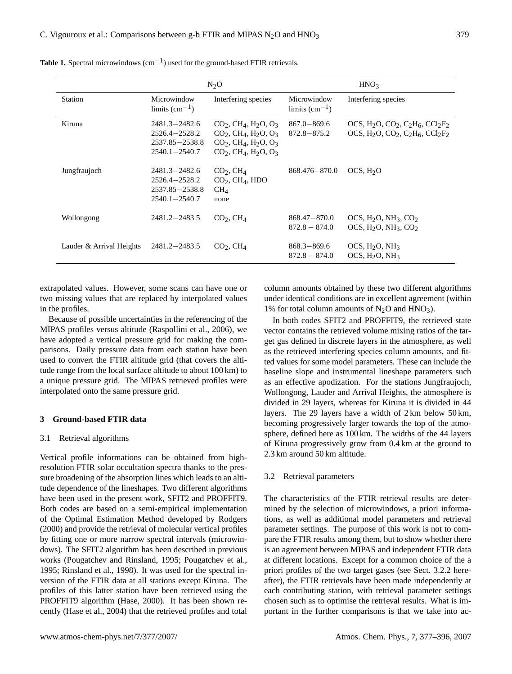<span id="page-2-0"></span>

|                          |                                                                                   | $N_2O$                                                                                                                                                                                                                                                | HNO <sub>3</sub>                         |                                                                                                                                                 |  |  |  |
|--------------------------|-----------------------------------------------------------------------------------|-------------------------------------------------------------------------------------------------------------------------------------------------------------------------------------------------------------------------------------------------------|------------------------------------------|-------------------------------------------------------------------------------------------------------------------------------------------------|--|--|--|
| <b>Station</b>           | Microwindow<br>limits $\text{cm}^{-1}$ )                                          | Interfering species                                                                                                                                                                                                                                   | Microwindow<br>limits $\text{cm}^{-1}$ ) | Interfering species                                                                                                                             |  |  |  |
| Kiruna                   | $2481.3 - 2482.6$<br>$2526.4 - 2528.2$<br>$2537.85 - 2538.8$<br>$2540.1 - 2540.7$ | $CO2$ , CH <sub>4</sub> , H <sub>2</sub> O, O <sub>3</sub><br>$CO_2$ , CH <sub>4</sub> , H <sub>2</sub> O, O <sub>3</sub><br>$CO2$ , CH <sub>4</sub> , H <sub>2</sub> O, O <sub>3</sub><br>$CO2$ , CH <sub>4</sub> , H <sub>2</sub> O, O <sub>3</sub> | $867.0 - 869.6$<br>$872.8 - 875.2$       | OCS, $H_2O$ , CO <sub>2</sub> , C <sub>2</sub> H <sub>6</sub> , CCl <sub>2</sub> F <sub>2</sub><br>OCS, $H_2O$ , $CO_2$ , $C_2H_6$ , $CCl_2F_2$ |  |  |  |
| Jungfraujoch             | $2481.3 - 2482.6$<br>$2526.4 - 2528.2$<br>$2537.85 - 2538.8$<br>$2540.1 - 2540.7$ | CO <sub>2</sub> , CH <sub>4</sub><br>$CO2$ , CH <sub>4</sub> , HDO<br>CH <sub>4</sub><br>none                                                                                                                                                         | 868.476-870.0                            | OCS, H <sub>2</sub> O                                                                                                                           |  |  |  |
| Wollongong               | $2481.2 - 2483.5$                                                                 | CO <sub>2</sub> , CH <sub>4</sub>                                                                                                                                                                                                                     | $868.47 - 870.0$<br>$872.8 - 874.0$      | OCS, $H_2O$ , $NH_3$ , $CO_2$<br>OCS, $H_2O$ , $NH_3$ , $CO_2$                                                                                  |  |  |  |
| Lauder & Arrival Heights | 2481.2-2483.5                                                                     | CO <sub>2</sub> , CH <sub>4</sub>                                                                                                                                                                                                                     | $868.3 - 869.6$<br>$872.8 - 874.0$       | OCS, $H_2O$ , $NH_3$<br>OCS, $H_2O$ , $NH_3$                                                                                                    |  |  |  |

Table 1. Spectral microwindows (cm<sup>-1</sup>) used for the ground-based FTIR retrievals.

extrapolated values. However, some scans can have one or two missing values that are replaced by interpolated values in the profiles.

Because of possible uncertainties in the referencing of the MIPAS profiles versus altitude [\(Raspollini et al.,](#page-19-5) [2006\)](#page-19-5), we have adopted a vertical pressure grid for making the comparisons. Daily pressure data from each station have been used to convert the FTIR altitude grid (that covers the altitude range from the local surface altitude to about 100 km) to a unique pressure grid. The MIPAS retrieved profiles were interpolated onto the same pressure grid.

# **3 Ground-based FTIR data**

## 3.1 Retrieval algorithms

Vertical profile informations can be obtained from highresolution FTIR solar occultation spectra thanks to the pressure broadening of the absorption lines which leads to an altitude dependence of the lineshapes. Two different algorithms have been used in the present work, SFIT2 and PROFFIT9. Both codes are based on a semi-empirical implementation of the Optimal Estimation Method developed by [Rodgers](#page-19-2) [\(2000\)](#page-19-2) and provide the retrieval of molecular vertical profiles by fitting one or more narrow spectral intervals (microwindows). The SFIT2 algorithm has been described in previous works [\(Pougatchev and Rinsland,](#page-19-7) [1995;](#page-19-7) [Pougatchev et al.,](#page-19-8) [1995;](#page-19-8) [Rinsland et al.,](#page-19-9) [1998\)](#page-19-9). It was used for the spectral inversion of the FTIR data at all stations except Kiruna. The profiles of this latter station have been retrieved using the PROFFIT9 algorithm [\(Hase,](#page-19-10) [2000\)](#page-19-10). It has been shown recently [\(Hase et al.,](#page-19-11) [2004\)](#page-19-11) that the retrieved profiles and total column amounts obtained by these two different algorithms under identical conditions are in excellent agreement (within 1% for total column amounts of  $N_2O$  and  $HNO_3$ ).

In both codes SFIT2 and PROFFIT9, the retrieved state vector contains the retrieved volume mixing ratios of the target gas defined in discrete layers in the atmosphere, as well as the retrieved interfering species column amounts, and fitted values for some model parameters. These can include the baseline slope and instrumental lineshape parameters such as an effective apodization. For the stations Jungfraujoch, Wollongong, Lauder and Arrival Heights, the atmosphere is divided in 29 layers, whereas for Kiruna it is divided in 44 layers. The 29 layers have a width of 2 km below 50 km, becoming progressively larger towards the top of the atmosphere, defined here as 100 km. The widths of the 44 layers of Kiruna progressively grow from 0.4 km at the ground to 2.3 km around 50 km altitude.

# 3.2 Retrieval parameters

The characteristics of the FTIR retrieval results are determined by the selection of microwindows, a priori informations, as well as additional model parameters and retrieval parameter settings. The purpose of this work is not to compare the FTIR results among them, but to show whether there is an agreement between MIPAS and independent FTIR data at different locations. Except for a common choice of the a priori profiles of the two target gases (see Sect. [3.2.2](#page-3-0) hereafter), the FTIR retrievals have been made independently at each contributing station, with retrieval parameter settings chosen such as to optimise the retrieval results. What is important in the further comparisons is that we take into ac-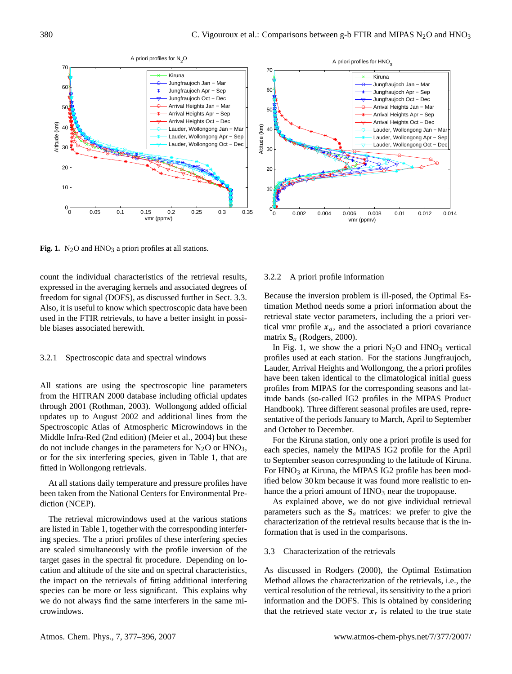

<span id="page-3-2"></span>**Fig. 1.**  $N_2O$  and  $HNO_3$  a priori profiles at all stations.

count the individual characteristics of the retrieval results, expressed in the averaging kernels and associated degrees of freedom for signal (DOFS), as discussed further in Sect. [3.3.](#page-3-1) Also, it is useful to know which spectroscopic data have been used in the FTIR retrievals, to have a better insight in possible biases associated herewith.

#### <span id="page-3-3"></span>3.2.1 Spectroscopic data and spectral windows

All stations are using the spectroscopic line parameters from the HITRAN 2000 database including official updates through 2001 [\(Rothman,](#page-19-12) [2003\)](#page-19-12). Wollongong added official updates up to August 2002 and additional lines from the Spectroscopic Atlas of Atmospheric Microwindows in the Middle Infra-Red (2nd edition) [\(Meier et al.,](#page-19-13) [2004\)](#page-19-13) but these do not include changes in the parameters for  $N_2O$  or  $HNO_3$ , or for the six interfering species, given in Table [1,](#page-2-0) that are fitted in Wollongong retrievals.

At all stations daily temperature and pressure profiles have been taken from the National Centers for Environmental Prediction (NCEP).

The retrieval microwindows used at the various stations are listed in Table [1,](#page-2-0) together with the corresponding interfering species. The a priori profiles of these interfering species are scaled simultaneously with the profile inversion of the target gases in the spectral fit procedure. Depending on location and altitude of the site and on spectral characteristics, the impact on the retrievals of fitting additional interfering species can be more or less significant. This explains why we do not always find the same interferers in the same microwindows.

# <span id="page-3-0"></span>3.2.2 A priori profile information

Because the inversion problem is ill-posed, the Optimal Estimation Method needs some a priori information about the retrieval state vector parameters, including the a priori vertical vmr profile  $x_a$ , and the associated a priori covariance matrix **S**<sup>a</sup> [\(Rodgers,](#page-19-2) [2000\)](#page-19-2).

In Fig. [1,](#page-3-2) we show the a priori  $N_2O$  and  $HNO_3$  vertical profiles used at each station. For the stations Jungfraujoch, Lauder, Arrival Heights and Wollongong, the a priori profiles have been taken identical to the climatological initial guess profiles from MIPAS for the corresponding seasons and latitude bands (so-called IG2 profiles in the MIPAS Product Handbook). Three different seasonal profiles are used, representative of the periods January to March, April to September and October to December.

For the Kiruna station, only one a priori profile is used for each species, namely the MIPAS IG2 profile for the April to September season corresponding to the latitude of Kiruna. For HNO<sub>3</sub> at Kiruna, the MIPAS IG2 profile has been modified below 30 km because it was found more realistic to enhance the a priori amount of  $HNO<sub>3</sub>$  near the tropopause.

As explained above, we do not give individual retrieval parameters such as the  $S_a$  matrices: we prefer to give the characterization of the retrieval results because that is the information that is used in the comparisons.

# <span id="page-3-1"></span>3.3 Characterization of the retrievals

As discussed in [Rodgers](#page-19-2) [\(2000\)](#page-19-2), the Optimal Estimation Method allows the characterization of the retrievals, i.e., the vertical resolution of the retrieval, its sensitivity to the a priori information and the DOFS. This is obtained by considering that the retrieved state vector  $x_r$  is related to the true state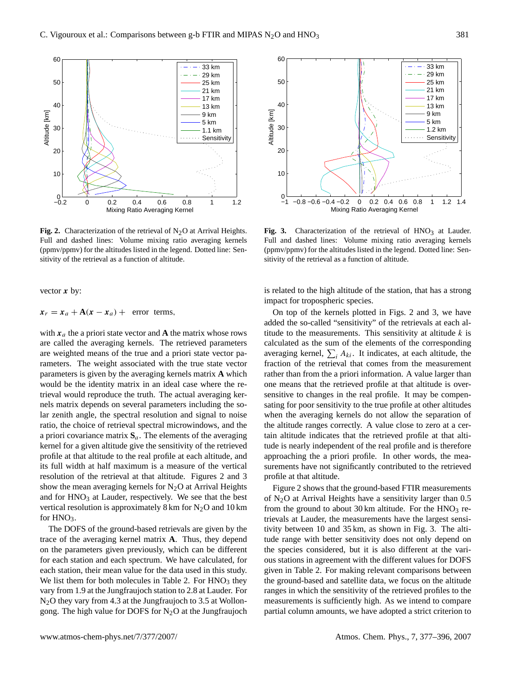

<span id="page-4-0"></span>**Fig. 2.** Characterization of the retrieval of  $N<sub>2</sub>O$  at Arrival Heights. Full and dashed lines: Volume mixing ratio averaging kernels (ppmv/ppmv) for the altitudes listed in the legend. Dotted line: Sensitivity of the retrieval as a function of altitude.

vector  $x$  by:

$$
x_r = x_a + A(x - x_a) +
$$
 error terms,

with  $x_a$  the a priori state vector and **A** the matrix whose rows are called the averaging kernels. The retrieved parameters are weighted means of the true and a priori state vector parameters. The weight associated with the true state vector parameters is given by the averaging kernels matrix **A** which would be the identity matrix in an ideal case where the retrieval would reproduce the truth. The actual averaging kernels matrix depends on several parameters including the solar zenith angle, the spectral resolution and signal to noise ratio, the choice of retrieval spectral microwindows, and the a priori covariance matrix  $S_a$ . The elements of the averaging kernel for a given altitude give the sensitivity of the retrieved profile at that altitude to the real profile at each altitude, and its full width at half maximum is a measure of the vertical resolution of the retrieval at that altitude. Figures [2](#page-4-0) and [3](#page-4-1) show the mean averaging kernels for  $N_2O$  at Arrival Heights and for HNO<sub>3</sub> at Lauder, respectively. We see that the best vertical resolution is approximately  $8 \text{ km}$  for N<sub>2</sub>O and 10 km for HNO<sub>3</sub>.

The DOFS of the ground-based retrievals are given by the trace of the averaging kernel matrix **A**. Thus, they depend on the parameters given previously, which can be different for each station and each spectrum. We have calculated, for each station, their mean value for the data used in this study. We list them for both molecules in Table [2.](#page-5-0) For  $HNO<sub>3</sub>$  they vary from 1.9 at the Jungfraujoch station to 2.8 at Lauder. For N<sub>2</sub>O they vary from 4.3 at the Jungfraujoch to 3.5 at Wollongong. The high value for DOFS for  $N_2O$  at the Jungfraujoch



<span id="page-4-1"></span>Fig. 3. Characterization of the retrieval of HNO<sub>3</sub> at Lauder. Full and dashed lines: Volume mixing ratio averaging kernels (ppmv/ppmv) for the altitudes listed in the legend. Dotted line: Sensitivity of the retrieval as a function of altitude.

is related to the high altitude of the station, that has a strong impact for tropospheric species.

On top of the kernels plotted in Figs. [2](#page-4-0) and [3,](#page-4-1) we have added the so-called "sensitivity" of the retrievals at each altitude to the measurements. This sensitivity at altitude  $k$  is calculated as the sum of the elements of the corresponding averaging kernel,  $\sum_i A_{ki}$ . It indicates, at each altitude, the fraction of the retrieval that comes from the measurement rather than from the a priori information. A value larger than one means that the retrieved profile at that altitude is oversensitive to changes in the real profile. It may be compensating for poor sensitivity to the true profile at other altitudes when the averaging kernels do not allow the separation of the altitude ranges correctly. A value close to zero at a certain altitude indicates that the retrieved profile at that altitude is nearly independent of the real profile and is therefore approaching the a priori profile. In other words, the measurements have not significantly contributed to the retrieved profile at that altitude.

Figure [2](#page-4-0) shows that the ground-based FTIR measurements of  $N_2$ O at Arrival Heights have a sensitivity larger than 0.5 from the ground to about 30 km altitude. For the  $HNO<sub>3</sub>$  retrievals at Lauder, the measurements have the largest sensitivity between 10 and 35 km, as shown in Fig. [3.](#page-4-1) The altitude range with better sensitivity does not only depend on the species considered, but it is also different at the various stations in agreement with the different values for DOFS given in Table [2.](#page-5-0) For making relevant comparisons between the ground-based and satellite data, we focus on the altitude ranges in which the sensitivity of the retrieved profiles to the measurements is sufficiently high. As we intend to compare partial column amounts, we have adopted a strict criterion to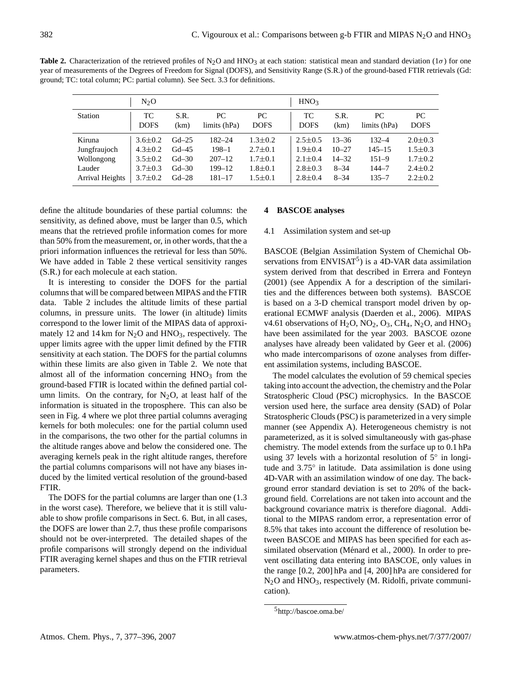<span id="page-5-0"></span>**Table 2.** Characterization of the retrieved profiles of N<sub>2</sub>O and HNO<sub>3</sub> at each station: statistical mean and standard deviation (1 $\sigma$ ) for one year of measurements of the Degrees of Freedom for Signal (DOFS), and Sensitivity Range (S.R.) of the ground-based FTIR retrievals (Gd: ground; TC: total column; PC: partial column). See Sect. [3.3](#page-3-1) for definitions.

|                 | N <sub>2</sub> O  |              |                    |                    | HNO <sub>3</sub>  |              |                     |                    |
|-----------------|-------------------|--------------|--------------------|--------------------|-------------------|--------------|---------------------|--------------------|
| <b>Station</b>  | ТC<br><b>DOFS</b> | S.R.<br>(km) | PС<br>limits (hPa) | PC.<br><b>DOFS</b> | TC<br><b>DOFS</b> | S.R.<br>(km) | PC.<br>limits (hPa) | PC.<br><b>DOFS</b> |
| Kiruna          | $3.6 \pm 0.2$     | $Gd-25$      | $182 - 24$         | $1.3 \pm 0.2$      | $2.5 \pm 0.5$     | $13 - 36$    | $132 - 4$           | $2.0 \pm 0.3$      |
| Jungfraujoch    | $4.3 \pm 0.2$     | $Gd-45$      | $198 - 1$          | $2.7 \pm 0.1$      | $1.9 \pm 0.4$     | $10 - 27$    | $145 - 15$          | $1.5 \pm 0.3$      |
| Wollongong      | $3.5 \pm 0.2$     | $Gd-30$      | $207 - 12$         | $1.7 \pm 0.1$      | $2.1 \pm 0.4$     | $14 - 32$    | $151 - 9$           | $1.7 \pm 0.2$      |
| Lauder          | $3.7 \pm 0.3$     | $Gd-30$      | $199 - 12$         | $1.8 \pm 0.1$      | $2.8 \pm 0.3$     | $8 - 34$     | $144 - 7$           | $2.4 \pm 0.2$      |
| Arrival Heights | $3.7 \pm 0.2$     | $Gd-28$      | $181 - 17$         | $1.5 \pm 0.1$      | $2.8 \pm 0.4$     | $8 - 34$     | $135 - 7$           | $2.2 + 0.2$        |

define the altitude boundaries of these partial columns: the sensitivity, as defined above, must be larger than 0.5, which means that the retrieved profile information comes for more than 50% from the measurement, or, in other words, that the a priori information influences the retrieval for less than 50%. We have added in Table [2](#page-5-0) these vertical sensitivity ranges (S.R.) for each molecule at each station.

It is interesting to consider the DOFS for the partial columns that will be compared between MIPAS and the FTIR data. Table [2](#page-5-0) includes the altitude limits of these partial columns, in pressure units. The lower (in altitude) limits correspond to the lower limit of the MIPAS data of approximately 12 and 14 km for  $N_2O$  and  $HNO_3$ , respectively. The upper limits agree with the upper limit defined by the FTIR sensitivity at each station. The DOFS for the partial columns within these limits are also given in Table [2.](#page-5-0) We note that almost all of the information concerning  $HNO<sub>3</sub>$  from the ground-based FTIR is located within the defined partial column limits. On the contrary, for  $N_2O$ , at least half of the information is situated in the troposphere. This can also be seen in Fig. [4](#page-6-0) where we plot three partial columns averaging kernels for both molecules: one for the partial column used in the comparisons, the two other for the partial columns in the altitude ranges above and below the considered one. The averaging kernels peak in the right altitude ranges, therefore the partial columns comparisons will not have any biases induced by the limited vertical resolution of the ground-based FTIR.

The DOFS for the partial columns are larger than one (1.3 in the worst case). Therefore, we believe that it is still valuable to show profile comparisons in Sect. [6.](#page-10-0) But, in all cases, the DOFS are lower than 2.7, thus these profile comparisons should not be over-interpreted. The detailed shapes of the profile comparisons will strongly depend on the individual FTIR averaging kernel shapes and thus on the FTIR retrieval parameters.

# <span id="page-5-2"></span>**4 BASCOE analyses**

#### 4.1 Assimilation system and set-up

BASCOE (Belgian Assimilation System of Chemichal Ob-servations from ENVISAT<sup>[5](#page-5-1)</sup>) is a 4D-VAR data assimilation system derived from that described in [Errera and Fonteyn](#page-19-14) [\(2001\)](#page-19-14) (see Appendix A for a description of the similarities and the differences between both systems). BASCOE is based on a 3-D chemical transport model driven by operational ECMWF analysis [\(Daerden et al.,](#page-18-1) [2006\)](#page-18-1). MIPAS v4.61 observations of  $H_2O$ ,  $NO_2$ ,  $O_3$ ,  $CH_4$ ,  $N_2O$ , and  $HNO_3$ have been assimilated for the year 2003. BASCOE ozone analyses have already been validated by [Geer et al.](#page-19-15) [\(2006\)](#page-19-15) who made intercomparisons of ozone analyses from different assimilation systems, including BASCOE.

The model calculates the evolution of 59 chemical species taking into account the advection, the chemistry and the Polar Stratospheric Cloud (PSC) microphysics. In the BASCOE version used here, the surface area density (SAD) of Polar Stratospheric Clouds (PSC) is parameterized in a very simple manner (see Appendix A). Heterogeneous chemistry is not parameterized, as it is solved simultaneously with gas-phase chemistry. The model extends from the surface up to 0.1 hPa using 37 levels with a horizontal resolution of  $5^\circ$  in longitude and 3.75◦ in latitude. Data assimilation is done using 4D-VAR with an assimilation window of one day. The background error standard deviation is set to 20% of the background field. Correlations are not taken into account and the background covariance matrix is therefore diagonal. Additional to the MIPAS random error, a representation error of 8.5% that takes into account the difference of resolution between BASCOE and MIPAS has been specified for each as-similated observation (Ménard et al., [2000\)](#page-19-16). In order to prevent oscillating data entering into BASCOE, only values in the range [0.2, 200] hPa and [4, 200] hPa are considered for  $N_2O$  and  $HNO_3$ , respectively (M. Ridolfi, private communication).

<span id="page-5-1"></span><sup>5</sup><http://bascoe.oma.be/>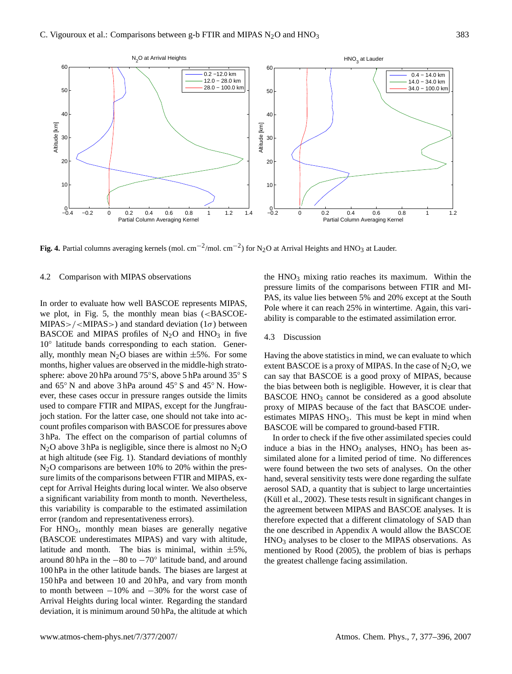

<span id="page-6-0"></span>**Fig. 4.** Partial columns averaging kernels (mol. cm<sup>−2</sup>/mol. cm<sup>−2</sup>) for N<sub>2</sub>O at Arrival Heights and HNO<sub>3</sub> at Lauder.

## 4.2 Comparison with MIPAS observations

In order to evaluate how well BASCOE represents MIPAS, we plot, in Fig. [5,](#page-7-0) the monthly mean bias  $\langle$  <BASCOE-MIPAS>/<MIPAS>) and standard deviation  $(1\sigma)$  between BASCOE and MIPAS profiles of  $N_2O$  and  $HNO_3$  in five 10° latitude bands corresponding to each station. Generally, monthly mean N<sub>2</sub>O biases are within  $\pm$ 5%. For some months, higher values are observed in the middle-high stratosphere: above 20 hPa around 75◦S, above 5 hPa around 35◦ S and 65◦ N and above 3 hPa around 45◦ S and 45◦ N. However, these cases occur in pressure ranges outside the limits used to compare FTIR and MIPAS, except for the Jungfraujoch station. For the latter case, one should not take into account profiles comparison with BASCOE for pressures above 3 hPa. The effect on the comparison of partial columns of  $N_2O$  above 3 hPa is negligible, since there is almost no  $N_2O$ at high altitude (see Fig. [1\)](#page-3-2). Standard deviations of monthly N<sub>2</sub>O comparisons are between 10% to 20% within the pressure limits of the comparisons between FTIR and MIPAS, except for Arrival Heights during local winter. We also observe a significant variability from month to month. Nevertheless, this variability is comparable to the estimated assimilation error (random and representativeness errors).

For  $HNO<sub>3</sub>$ , monthly mean biases are generally negative (BASCOE underestimates MIPAS) and vary with altitude, latitude and month. The bias is minimal, within  $\pm 5\%$ , around 80 hPa in the  $-80$  to  $-70°$  latitude band, and around 100 hPa in the other latitude bands. The biases are largest at 150 hPa and between 10 and 20 hPa, and vary from month to month between −10% and −30% for the worst case of Arrival Heights during local winter. Regarding the standard deviation, it is minimum around 50 hPa, the altitude at which the  $HNO<sub>3</sub>$  mixing ratio reaches its maximum. Within the pressure limits of the comparisons between FTIR and MI-PAS, its value lies between 5% and 20% except at the South Pole where it can reach 25% in wintertime. Again, this variability is comparable to the estimated assimilation error.

#### <span id="page-6-1"></span>4.3 Discussion

Having the above statistics in mind, we can evaluate to which extent BASCOE is a proxy of MIPAS. In the case of  $N_2O$ , we can say that BASCOE is a good proxy of MIPAS, because the bias between both is negligible. However, it is clear that  $BASCOE HNO<sub>3</sub>$  cannot be considered as a good absolute proxy of MIPAS because of the fact that BASCOE underestimates MIPAS HNO<sub>3</sub>. This must be kept in mind when BASCOE will be compared to ground-based FTIR.

In order to check if the five other assimilated species could induce a bias in the  $HNO<sub>3</sub>$  analyses,  $HNO<sub>3</sub>$  has been assimilated alone for a limited period of time. No differences were found between the two sets of analyses. On the other hand, several sensitivity tests were done regarding the sulfate aerosol SAD, a quantity that is subject to large uncertainties  $(Küll et al., 2002)$  $(Küll et al., 2002)$ . These tests result in significant changes in the agreement between MIPAS and BASCOE analyses. It is therefore expected that a different climatology of SAD than the one described in Appendix A would allow the BASCOE HNO<sub>3</sub> analyses to be closer to the MIPAS observations. As mentioned by [Rood](#page-19-18) [\(2005\)](#page-19-18), the problem of bias is perhaps the greatest challenge facing assimilation.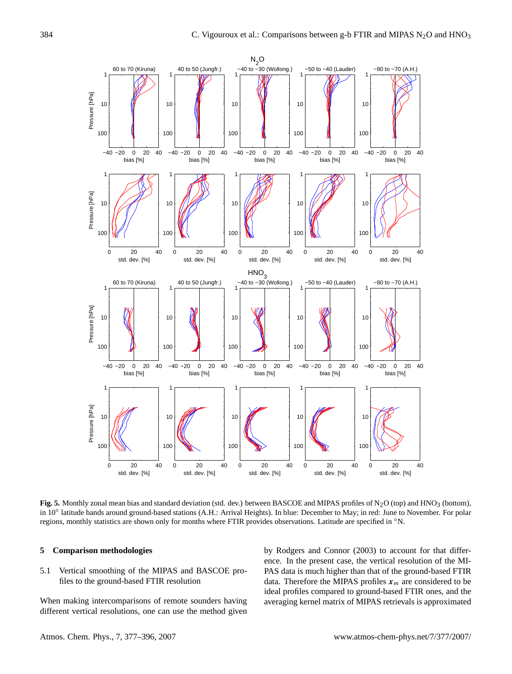

<span id="page-7-0"></span>**Fig. 5.** Monthly zonal mean bias and standard deviation (std. dev.) between BASCOE and MIPAS profiles of N<sub>2</sub>O (top) and HNO<sub>3</sub> (bottom), in 10° latitude bands around ground-based stations (A.H.: Arrival Heights). In blue: December to May; in red: June to November. For polar regions, monthly statistics are shown only for months where FTIR provides observations. Latitude are specified in °N.

#### <span id="page-7-2"></span>**5 Comparison methodologies**

<span id="page-7-1"></span>5.1 Vertical smoothing of the MIPAS and BASCOE profiles to the ground-based FTIR resolution

When making intercomparisons of remote sounders having different vertical resolutions, one can use the method given by [Rodgers and Connor](#page-19-19) [\(2003\)](#page-19-19) to account for that difference. In the present case, the vertical resolution of the MI-PAS data is much higher than that of the ground-based FTIR data. Therefore the MIPAS profiles  $x_m$  are considered to be ideal profiles compared to ground-based FTIR ones, and the averaging kernel matrix of MIPAS retrievals is approximated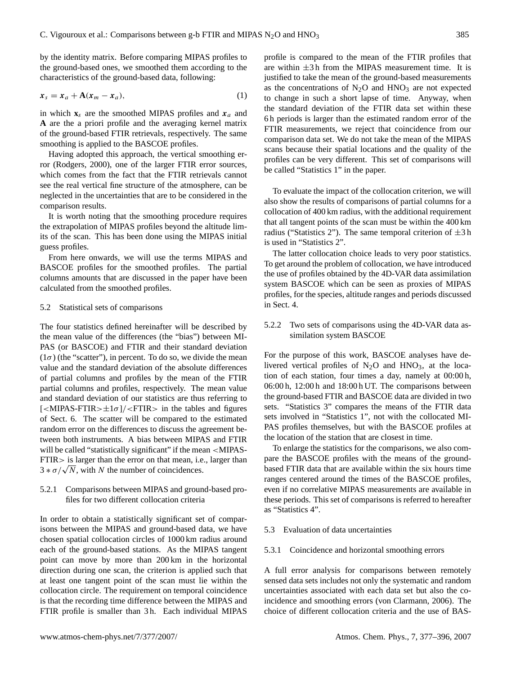by the identity matrix. Before comparing MIPAS profiles to the ground-based ones, we smoothed them according to the characteristics of the ground-based data, following:

$$
x_s = x_a + A(x_m - x_a), \tag{1}
$$

in which  $\mathbf{x}_s$  are the smoothed MIPAS profiles and  $\mathbf{x}_a$  and **A** are the a priori profile and the averaging kernel matrix of the ground-based FTIR retrievals, respectively. The same smoothing is applied to the BASCOE profiles.

Having adopted this approach, the vertical smoothing error [\(Rodgers,](#page-19-2) [2000\)](#page-19-2), one of the larger FTIR error sources, which comes from the fact that the FTIR retrievals cannot see the real vertical fine structure of the atmosphere, can be neglected in the uncertainties that are to be considered in the comparison results.

It is worth noting that the smoothing procedure requires the extrapolation of MIPAS profiles beyond the altitude limits of the scan. This has been done using the MIPAS initial guess profiles.

From here onwards, we will use the terms MIPAS and BASCOE profiles for the smoothed profiles. The partial columns amounts that are discussed in the paper have been calculated from the smoothed profiles.

# <span id="page-8-0"></span>5.2 Statistical sets of comparisons

The four statistics defined hereinafter will be described by the mean value of the differences (the "bias") between MI-PAS (or BASCOE) and FTIR and their standard deviation  $(1\sigma)$  (the "scatter"), in percent. To do so, we divide the mean value and the standard deviation of the absolute differences of partial columns and profiles by the mean of the FTIR partial columns and profiles, respectively. The mean value and standard deviation of our statistics are thus referring to  $\lfloor$ <MIPAS-FTIR> $\pm$ 1 $\sigma$ ]/<FTIR> in the tables and figures of Sect. [6.](#page-10-0) The scatter will be compared to the estimated random error on the differences to discuss the agreement between both instruments. A bias between MIPAS and FTIR will be called "statistically significant" if the mean <MIPAS-FTIR> is larger than the error on that mean, i.e., larger than FTIR> is larger than the error on that mean, i.e<br> $3 * \sigma / \sqrt{N}$ , with N the number of coincidences.

# 5.2.1 Comparisons between MIPAS and ground-based profiles for two different collocation criteria

In order to obtain a statistically significant set of comparisons between the MIPAS and ground-based data, we have chosen spatial collocation circles of 1000 km radius around each of the ground-based stations. As the MIPAS tangent point can move by more than 200 km in the horizontal direction during one scan, the criterion is applied such that at least one tangent point of the scan must lie within the collocation circle. The requirement on temporal coincidence is that the recording time difference between the MIPAS and FTIR profile is smaller than 3 h. Each individual MIPAS profile is compared to the mean of the FTIR profiles that are within  $\pm 3$  h from the MIPAS measurement time. It is justified to take the mean of the ground-based measurements as the concentrations of  $N_2O$  and  $HNO_3$  are not expected to change in such a short lapse of time. Anyway, when the standard deviation of the FTIR data set within these 6 h periods is larger than the estimated random error of the FTIR measurements, we reject that coincidence from our comparison data set. We do not take the mean of the MIPAS scans because their spatial locations and the quality of the profiles can be very different. This set of comparisons will be called "Statistics 1" in the paper.

To evaluate the impact of the collocation criterion, we will also show the results of comparisons of partial columns for a collocation of 400 km radius, with the additional requirement that all tangent points of the scan must be within the 400 km radius ("Statistics 2"). The same temporal criterion of  $\pm 3$  h is used in "Statistics 2".

The latter collocation choice leads to very poor statistics. To get around the problem of collocation, we have introduced the use of profiles obtained by the 4D-VAR data assimilation system BASCOE which can be seen as proxies of MIPAS profiles, for the species, altitude ranges and periods discussed in Sect. [4.](#page-5-2)

5.2.2 Two sets of comparisons using the 4D-VAR data assimilation system BASCOE

For the purpose of this work, BASCOE analyses have delivered vertical profiles of  $N_2O$  and  $HNO_3$ , at the location of each station, four times a day, namely at 00:00 h, 06:00 h, 12:00 h and 18:00 h UT. The comparisons between the ground-based FTIR and BASCOE data are divided in two sets. "Statistics 3" compares the means of the FTIR data sets involved in "Statistics 1", not with the collocated MI-PAS profiles themselves, but with the BASCOE profiles at the location of the station that are closest in time.

To enlarge the statistics for the comparisons, we also compare the BASCOE profiles with the means of the groundbased FTIR data that are available within the six hours time ranges centered around the times of the BASCOE profiles, even if no correlative MIPAS measurements are available in these periods. This set of comparisons is referred to hereafter as "Statistics 4".

## 5.3 Evaluation of data uncertainties

<span id="page-8-1"></span>5.3.1 Coincidence and horizontal smoothing errors

A full error analysis for comparisons between remotely sensed data sets includes not only the systematic and random uncertainties associated with each data set but also the coincidence and smoothing errors [\(von Clarmann,](#page-19-20) [2006\)](#page-19-20). The choice of different collocation criteria and the use of BAS-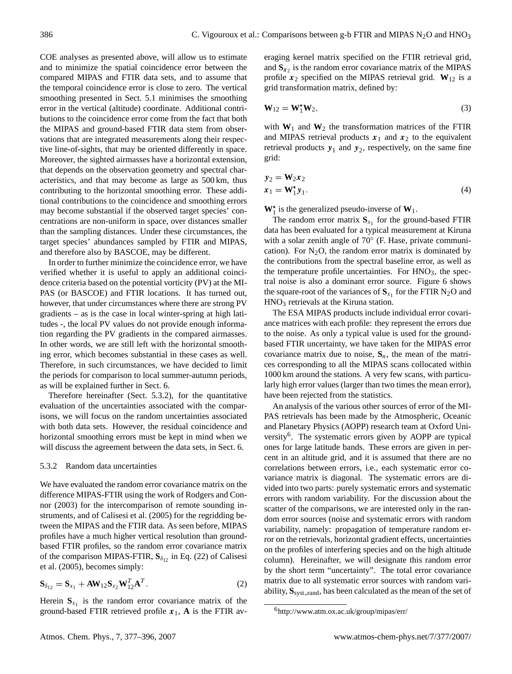COE analyses as presented above, will allow us to estimate and to minimize the spatial coincidence error between the compared MIPAS and FTIR data sets, and to assume that the temporal coincidence error is close to zero. The vertical smoothing presented in Sect. [5.1](#page-7-1) minimises the smoothing error in the vertical (altitude) coordinate. Additional contributions to the coincidence error come from the fact that both the MIPAS and ground-based FTIR data stem from observations that are integrated measurements along their respective line-of-sights, that may be oriented differently in space. Moreover, the sighted airmasses have a horizontal extension, that depends on the observation geometry and spectral characteristics, and that may become as large as 500 km, thus contributing to the horizontal smoothing error. These additional contributions to the coincidence and smoothing errors may become substantial if the observed target species' concentrations are non-uniform in space, over distances smaller than the sampling distances. Under these circumstances, the target species' abundances sampled by FTIR and MIPAS, and therefore also by BASCOE, may be different.

In order to further minimize the coincidence error, we have verified whether it is useful to apply an additional coincidence criteria based on the potential vorticity (PV) at the MI-PAS (or BASCOE) and FTIR locations. It has turned out, however, that under circumstances where there are strong PV gradients – as is the case in local winter-spring at high latitudes -, the local PV values do not provide enough information regarding the PV gradients in the compared airmasses. In other words, we are still left with the horizontal smoothing error, which becomes substantial in these cases as well. Therefore, in such circumstances, we have decided to limit the periods for comparison to local summer-autumn periods, as will be explained further in Sect. [6.](#page-10-0)

Therefore hereinafter (Sect. [5.3.2\)](#page-9-0), for the quantitative evaluation of the uncertainties associated with the comparisons, we will focus on the random uncertainties associated with both data sets. However, the residual coincidence and horizontal smoothing errors must be kept in mind when we will discuss the agreement between the data sets, in Sect. [6.](#page-10-0)

#### <span id="page-9-0"></span>5.3.2 Random data uncertainties

We have evaluated the random error covariance matrix on the difference MIPAS-FTIR using the work of [Rodgers and Con](#page-19-19)[nor](#page-19-19) [\(2003\)](#page-19-19) for the intercomparison of remote sounding instruments, and of [Calisesi et al.](#page-18-2) [\(2005\)](#page-18-2) for the regridding between the MIPAS and the FTIR data. As seen before, MIPAS profiles have a much higher vertical resolution than groundbased FTIR profiles, so the random error covariance matrix of the comparison MIPAS-FTIR,  $S_{\delta_{12}}$  in Eq. (22) of [Calisesi](#page-18-2) [et al.](#page-18-2) [\(2005\)](#page-18-2), becomes simply:

<span id="page-9-2"></span>
$$
\mathbf{S}_{\delta_{12}} = \mathbf{S}_{x_1} + \mathbf{A} \mathbf{W}_{12} \mathbf{S}_{x_2} \mathbf{W}_{12}^T \mathbf{A}^T.
$$
 (2)

Herein  $S_{x_1}$  is the random error covariance matrix of the ground-based FTIR retrieved profile  $x_1$ , **A** is the FTIR averaging kernel matrix specified on the FTIR retrieval grid, and  $S_{x_2}$  is the random error covariance matrix of the MIPAS profile  $x_2$  specified on the MIPAS retrieval grid.  $W_{12}$  is a grid transformation matrix, defined by:

$$
\mathbf{W}_{12} = \mathbf{W}_1^* \mathbf{W}_2, \tag{3}
$$

with  $W_1$  and  $W_2$  the transformation matrices of the FTIR and MIPAS retrieval products  $x_1$  and  $x_2$  to the equivalent retrieval products  $y_1$  and  $y_2$ , respectively, on the same fine grid:

$$
y_2 = \mathbf{W}_2 x_2
$$
  

$$
x_1 = \mathbf{W}_1^* y_1.
$$
 (4)

 $W_1^*$  is the generalized pseudo-inverse of  $W_1$ .

The random error matrix  $S_{x_1}$  for the ground-based FTIR data has been evaluated for a typical measurement at Kiruna with a solar zenith angle of 70° (F. Hase, private communication). For  $N_2O$ , the random error matrix is dominated by the contributions from the spectral baseline error, as well as the temperature profile uncertainties. For  $HNO<sub>3</sub>$ , the spectral noise is also a dominant error source. Figure [6](#page-10-1) shows the square-root of the variances of  $S_{x_1}$  for the FTIR N<sub>2</sub>O and  $HNO<sub>3</sub>$  retrievals at the Kiruna station.

The ESA MIPAS products include individual error covariance matrices with each profile: they represent the errors due to the noise. As only a typical value is used for the groundbased FTIR uncertainty, we have taken for the MIPAS error covariance matrix due to noise,  $S_n$ , the mean of the matrices corresponding to all the MIPAS scans collocated within 1000 km around the stations. A very few scans, with particularly high error values (larger than two times the mean error), have been rejected from the statistics.

An analysis of the various other sources of error of the MI-PAS retrievals has been made by the Atmospheric, Oceanic and Planetary Physics (AOPP) research team at Oxford Uni-versity<sup>[6](#page-9-1)</sup>. The systematic errors given by AOPP are typical ones for large latitude bands. These errors are given in percent in an altitude grid, and it is assumed that there are no correlations between errors, i.e., each systematic error covariance matrix is diagonal. The systematic errors are divided into two parts: purely systematic errors and systematic errors with random variability. For the discussion about the scatter of the comparisons, we are interested only in the random error sources (noise and systematic errors with random variability, namely: propagation of temperature random error on the retrievals, horizontal gradient effects, uncertainties on the profiles of interfering species and on the high altitude column). Hereinafter, we will designate this random error by the short term "uncertainty". The total error covariance matrix due to all systematic error sources with random variability,  $S_{\text{syst\_rand}}$ , has been calculated as the mean of the set of

<span id="page-9-1"></span><sup>6</sup><http://www.atm.ox.ac.uk/group/mipas/err/>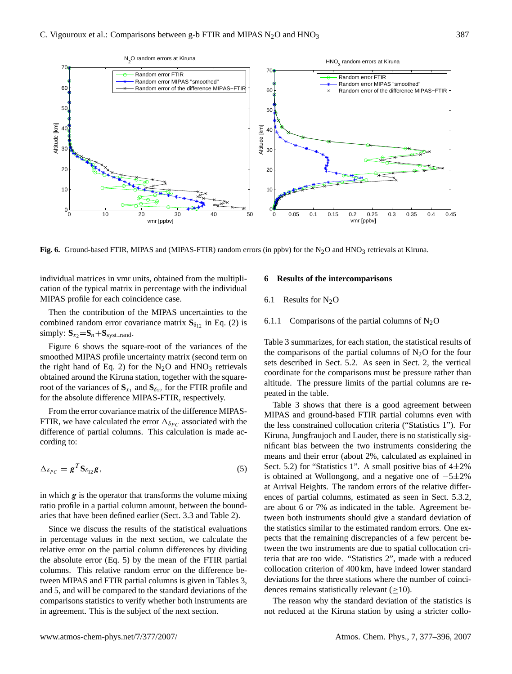

<span id="page-10-1"></span>**Fig. 6.** Ground-based FTIR, MIPAS and (MIPAS-FTIR) random errors (in ppbv) for the N<sub>2</sub>O and HNO<sub>3</sub> retrievals at Kiruna.

individual matrices in vmr units, obtained from the multiplication of the typical matrix in percentage with the individual MIPAS profile for each coincidence case.

Then the contribution of the MIPAS uncertainties to the combined random error covariance matrix  $S_{\delta_{12}}$  in Eq. [\(2\)](#page-9-2) is simply:  $S_{x_2} = S_n + S_{syst\_rand}$ .

Figure [6](#page-10-1) shows the square-root of the variances of the smoothed MIPAS profile uncertainty matrix (second term on the right hand of Eq. 2) for the  $N_2O$  and  $HNO_3$  retrievals obtained around the Kiruna station, together with the squareroot of the variances of  $S_{x_1}$  and  $S_{\delta_{12}}$  for the FTIR profile and for the absolute difference MIPAS-FTIR, respectively.

From the error covariance matrix of the difference MIPAS-FTIR, we have calculated the error  $\Delta_{\delta_{PC}}$  associated with the difference of partial columns. This calculation is made according to:

<span id="page-10-2"></span>
$$
\Delta_{\delta_{PC}} = \mathbf{g}^T \mathbf{S}_{\delta_{12}} \mathbf{g},\tag{5}
$$

in which  $g$  is the operator that transforms the volume mixing ratio profile in a partial column amount, between the boundaries that have been defined earlier (Sect. [3.3](#page-3-1) and Table [2\)](#page-5-0).

Since we discuss the results of the statistical evaluations in percentage values in the next section, we calculate the relative error on the partial column differences by dividing the absolute error (Eq. [5\)](#page-10-2) by the mean of the FTIR partial columns. This relative random error on the difference between MIPAS and FTIR partial columns is given in Tables [3,](#page-11-0) and [5,](#page-13-0) and will be compared to the standard deviations of the comparisons statistics to verify whether both instruments are in agreement. This is the subject of the next section.

# <span id="page-10-0"></span>**6 Results of the intercomparisons**

## 6.1 Results for  $N_2O$

# 6.1.1 Comparisons of the partial columns of  $N_2O$

Table [3](#page-11-0) summarizes, for each station, the statistical results of the comparisons of the partial columns of  $N_2O$  for the four sets described in Sect. [5.2.](#page-8-0) As seen in Sect. [2,](#page-1-3) the vertical coordinate for the comparisons must be pressure rather than altitude. The pressure limits of the partial columns are repeated in the table.

Table [3](#page-11-0) shows that there is a good agreement between MIPAS and ground-based FTIR partial columns even with the less constrained collocation criteria ("Statistics 1"). For Kiruna, Jungfraujoch and Lauder, there is no statistically significant bias between the two instruments considering the means and their error (about 2%, calculated as explained in Sect. [5.2\)](#page-8-0) for "Statistics 1". A small positive bias of  $4\pm2\%$ is obtained at Wollongong, and a negative one of −5±2% at Arrival Heights. The random errors of the relative differences of partial columns, estimated as seen in Sect. [5.3.2,](#page-9-0) are about 6 or 7% as indicated in the table. Agreement between both instruments should give a standard deviation of the statistics similar to the estimated random errors. One expects that the remaining discrepancies of a few percent between the two instruments are due to spatial collocation criteria that are too wide. "Statistics 2", made with a reduced collocation criterion of 400 km, have indeed lower standard deviations for the three stations where the number of coincidences remains statistically relevant  $(\geq 10)$ .

The reason why the standard deviation of the statistics is not reduced at the Kiruna station by using a stricter collo-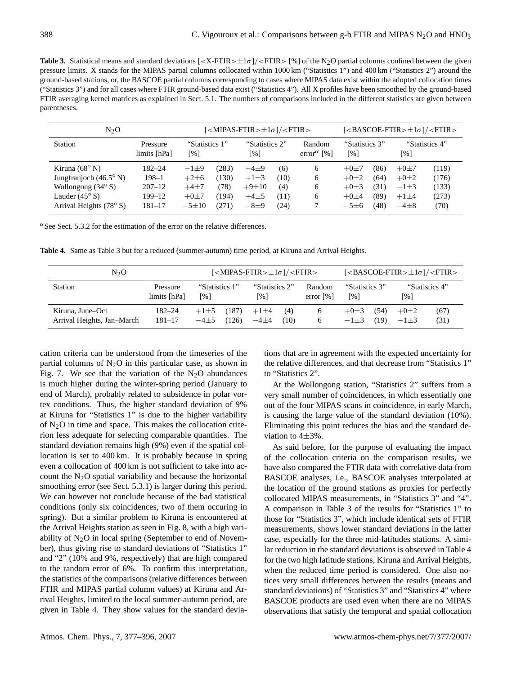<span id="page-11-0"></span>**Table 3.** Statistical means and standard deviations  $\frac{-X-FTIR+1\sigma}{-FIR}$  [%] of the N<sub>2</sub>O partial columns confined between the given pressure limits. X stands for the MIPAS partial columns collocated within 1000 km ("Statistics 1") and 400 km ("Statistics 2") around the ground-based stations, or, the BASCOE partial columns corresponding to cases where MIPAS data exist within the adopted collocation times ("Statistics 3") and for all cases where FTIR ground-based data exist ("Statistics 4"). All X profiles have been smoothed by the ground-based FTIR averaging kernel matrices as explained in Sect. [5.1.](#page-7-1) The numbers of comparisons included in the different statistics are given between parentheses.

| $N_2O$                                                      |                          |                                               | $\lceil$ <mipas-ftir><math>\pm</math>1<math>\sigma</math>]/<ftir></ftir></mipas-ftir> |                       |              |                                                    | $\leq$ BASCOE-FTIR> $\pm$ 1 $\sigma$ ]/ $<$ FTIR> |              |                      |                |
|-------------------------------------------------------------|--------------------------|-----------------------------------------------|---------------------------------------------------------------------------------------|-----------------------|--------------|----------------------------------------------------|---------------------------------------------------|--------------|----------------------|----------------|
| <b>Station</b>                                              | Pressure<br>limits [hPa] | "Statistics 1"<br>$\lceil \frac{9}{0} \rceil$ |                                                                                       | "Statistics 2"<br>[%] |              | Random<br>error <sup><math>\alpha</math></sup> [%] | "Statistics 3"<br>$\lceil \sqrt{6} \rceil$        |              | [%]                  | "Statistics 4" |
| Kiruna $(68^{\circ} N)$                                     | 182–24                   | $-1\pm9$                                      | (283)                                                                                 | $-4\pm9$              | (6)          | 6                                                  | $+0+7$                                            | (86)         | $+0+7$               | (119)          |
| Jungfraujoch $(46.5^{\circ} N)$                             | $198 - 1$                | $+2\pm6$                                      | (130)                                                                                 | $+1\pm3$              | (10)         | 6                                                  | $+0\pm2$                                          | (64)         | $+0\pm2$             | (176)          |
| Wollongong $(34^{\circ} S)$                                 | $207 - 12$               | $+4+7$                                        | (78)                                                                                  | $+9{\pm}10$           | (4)          | 6                                                  | $+0\pm3$                                          | (31)         | $-1\pm3$             | (133)          |
| Lauder $(45^{\circ} S)$<br>Arrival Heights $(78^{\circ} S)$ | $199 - 12$<br>$181 - 17$ | $+0\pm7$<br>$-5\pm10$                         | (194)<br>(271)                                                                        | $+4\pm5$<br>$-8\pm9$  | (11)<br>(24) | 6<br>7                                             | $+0±4$<br>$-5\pm 6$                               | (89)<br>(48) | $+1\pm4$<br>$-4\pm8$ | (273)<br>(70)  |

 $\alpha$ See Sect. [5.3.2](#page-9-0) for the estimation of the error on the relative differences.

<span id="page-11-1"></span>**Table 4.** Same as Table [3](#page-11-0) but for a reduced (summer-autumn) time period, at Kiruna and Arrival Heights.

| $N_2O$                                         |                          | [ <mipas-ftir>±1σ]/<ftir></ftir></mipas-ftir> |                |                       |             |                                   | $\lceil <\text{BASCOE-FTIR}>\pm 1\sigma \rceil/<\text{FTIR}>$ |                       |                      |              |
|------------------------------------------------|--------------------------|-----------------------------------------------|----------------|-----------------------|-------------|-----------------------------------|---------------------------------------------------------------|-----------------------|----------------------|--------------|
| Station                                        | Pressure<br>limits [hPa] | "Statistics 1"<br>[%]                         |                | "Statistics 2"<br>[%] |             | Random<br>error $\lceil\% \rceil$ | "Statistics 3"<br>$\lceil \% \rceil$                          | "Statistics 4"<br>[%] |                      |              |
| Kiruna, June–Oct<br>Arrival Heights, Jan-March | 182–24<br>$181 - 17$     | $+1\pm5$<br>$-4\pm5$                          | (187)<br>(126) | $+1\pm4$<br>$-4+4$    | (4)<br>(10) | 6<br>6                            | $+0\pm3$<br>$-1\pm3$                                          | (54)<br>(19           | $+0\pm2$<br>$-1\pm3$ | (67)<br>(31) |

cation criteria can be understood from the timeseries of the partial columns of  $N<sub>2</sub>O$  in this particular case, as shown in Fig. [7.](#page-12-0) We see that the variation of the  $N_2O$  abundances is much higher during the winter-spring period (January to end of March), probably related to subsidence in polar vortex conditions. Thus, the higher standard deviation of 9% at Kiruna for "Statistics 1" is due to the higher variability of  $N_2O$  in time and space. This makes the collocation criterion less adequate for selecting comparable quantities. The standard deviation remains high (9%) even if the spatial collocation is set to 400 km. It is probably because in spring even a collocation of 400 km is not sufficient to take into account the  $N<sub>2</sub>O$  spatial variability and because the horizontal smoothing error (see Sect. [5.3.1\)](#page-8-1) is larger during this period. We can however not conclude because of the bad statistical conditions (only six coincidences, two of them occuring in spring). But a similar problem to Kiruna is encountered at the Arrival Heights station as seen in Fig. [8,](#page-12-1) with a high variability of  $N<sub>2</sub>O$  in local spring (September to end of November), thus giving rise to standard deviations of "Statistics 1" and "2" (10% and 9%, respectively) that are high compared to the random error of 6%. To confirm this interpretation, the statistics of the comparisons (relative differences between FTIR and MIPAS partial column values) at Kiruna and Arrival Heights, limited to the local summer-autumn period, are given in Table [4.](#page-11-1) They show values for the standard deviations that are in agreement with the expected uncertainty for the relative differences, and that decrease from "Statistics 1" to "Statistics 2".

At the Wollongong station, "Statistics 2" suffers from a very small number of coincidences, in which essentially one out of the four MIPAS scans in coincidence, in early March, is causing the large value of the standard deviation (10%). Eliminating this point reduces the bias and the standard deviation to 4±3%.

As said before, for the purpose of evaluating the impact of the collocation criteria on the comparison results, we have also compared the FTIR data with correlative data from BASCOE analyses, i.e., BASCOE analyses interpolated at the location of the ground stations as proxies for perfectly collocated MIPAS measurements, in "Statistics 3" and "4". A comparison in Table [3](#page-11-0) of the results for "Statistics 1" to those for "Statistics 3", which include identical sets of FTIR measurements, shows lower standard deviations in the latter case, especially for the three mid-latitudes stations. A similar reduction in the standard deviations is observed in Table [4](#page-11-1) for the two high latitude stations, Kiruna and Arrival Heights, when the reduced time period is considered. One also notices very small differences between the results (means and standard deviations) of "Statistics 3" and "Statistics 4" where BASCOE products are used even when there are no MIPAS observations that satisfy the temporal and spatial collocation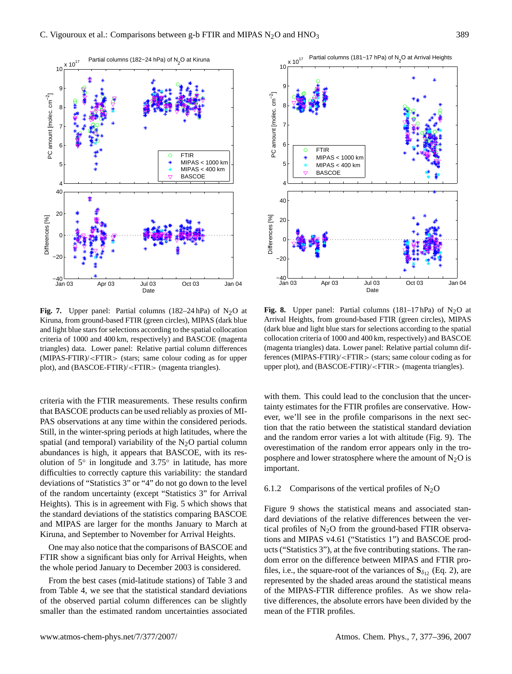

PC amount [molec. cm<sup>-2</sup>] PC amount [molec. cm<sup>-2</sup> FTIR MIPAS < 1000 km 5 MIPAS < 400 km **BASCOE** 4 40 20 Differences [%] Differences [%] 0 −20 –40 —<br>Jan 03 Jan 03 Apr 03 Jul 03 Oct 03 Jan 04 Date

6

7

8

 $\epsilon$ 

10  $x 10^{17}$ 

<span id="page-12-0"></span>**Fig. 7.** Upper panel: Partial columns  $(182-24 hPa)$  of N<sub>2</sub>O at Kiruna, from ground-based FTIR (green circles), MIPAS (dark blue and light blue stars for selections according to the spatial collocation criteria of 1000 and 400 km, respectively) and BASCOE (magenta triangles) data. Lower panel: Relative partial column differences (MIPAS-FTIR)/<FTIR> (stars; same colour coding as for upper plot), and (BASCOE-FTIR)/<FTIR> (magenta triangles).

criteria with the FTIR measurements. These results confirm that BASCOE products can be used reliably as proxies of MI-PAS observations at any time within the considered periods. Still, in the winter-spring periods at high latitudes, where the spatial (and temporal) variability of the  $N_2O$  partial column abundances is high, it appears that BASCOE, with its resolution of 5◦ in longitude and 3.75◦ in latitude, has more difficulties to correctly capture this variability: the standard deviations of "Statistics 3" or "4" do not go down to the level of the random uncertainty (except "Statistics 3" for Arrival Heights). This is in agreement with Fig. [5](#page-7-0) which shows that the standard deviations of the statistics comparing BASCOE and MIPAS are larger for the months January to March at Kiruna, and September to November for Arrival Heights.

One may also notice that the comparisons of BASCOE and FTIR show a significant bias only for Arrival Heights, when the whole period January to December 2003 is considered.

From the best cases (mid-latitude stations) of Table 3 and from Table 4, we see that the statistical standard deviations of the observed partial column differences can be slightly smaller than the estimated random uncertainties associated



<span id="page-12-1"></span>**Fig. 8.** Upper panel: Partial columns  $(181-17)$  hPa) of N<sub>2</sub>O at Arrival Heights, from ground-based FTIR (green circles), MIPAS (dark blue and light blue stars for selections according to the spatial collocation criteria of 1000 and 400 km, respectively) and BASCOE (magenta triangles) data. Lower panel: Relative partial column differences (MIPAS-FTIR)/<FTIR> (stars; same colour coding as for upper plot), and (BASCOE-FTIR)/<FTIR> (magenta triangles).

with them. This could lead to the conclusion that the uncertainty estimates for the FTIR profiles are conservative. However, we'll see in the profile comparisons in the next section that the ratio between the statistical standard deviation and the random error varies a lot with altitude (Fig. [9\)](#page-14-0). The overestimation of the random error appears only in the troposphere and lower stratosphere where the amount of  $N_2O$  is important.

# 6.1.2 Comparisons of the vertical profiles of  $N_2O$

Figure [9](#page-14-0) shows the statistical means and associated standard deviations of the relative differences between the vertical profiles of  $N_2O$  from the ground-based FTIR observations and MIPAS v4.61 ("Statistics 1") and BASCOE products ("Statistics 3"), at the five contributing stations. The random error on the difference between MIPAS and FTIR profiles, i.e., the square-root of the variances of  $S_{\delta_{12}}$  (Eq. [2\)](#page-9-2), are represented by the shaded areas around the statistical means of the MIPAS-FTIR difference profiles. As we show relative differences, the absolute errors have been divided by the mean of the FTIR profiles.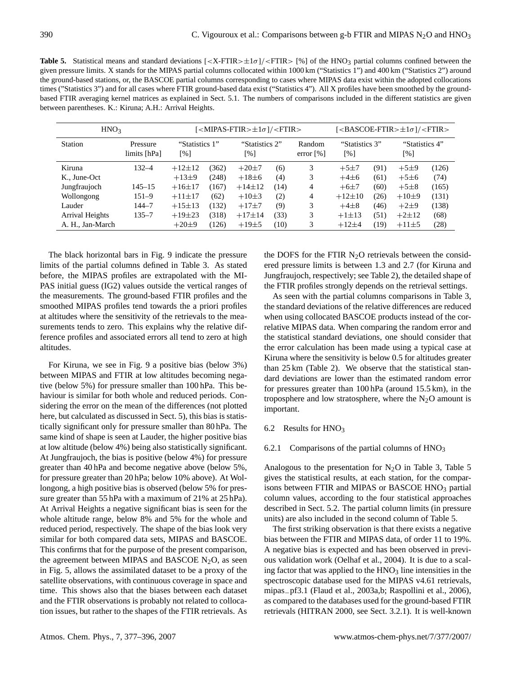<span id="page-13-0"></span>**Table 5.** Statistical means and standard deviations  $\frac{-X-FTIR \gt \pm 1\sigma}{\lt \text{FTIR}}$  [%] of the HNO<sub>3</sub> partial columns confined between the given pressure limits. X stands for the MIPAS partial columns collocated within 1000 km ("Statistics 1") and 400 km ("Statistics 2") around the ground-based stations, or, the BASCOE partial columns corresponding to cases where MIPAS data exist within the adopted collocations times ("Statistics 3") and for all cases where FTIR ground-based data exist ("Statistics 4"). All X profiles have been smoothed by the groundbased FTIR averaging kernel matrices as explained in Sect. [5.1.](#page-7-1) The numbers of comparisons included in the different statistics are given between parentheses. K.: Kiruna; A.H.: Arrival Heights.

| HNO <sub>3</sub> |                          |                       | $\leq$ MIPAS-FTIR> $\pm$ 1 $\sigma$ ]/ $\leq$ FTIR> |                                      |      |                                   |                                            |      | $\leq$ BASCOE-FTIR> $\pm$ 1 $\sigma$ ]/ $<$ FTIR> |       |  |  |
|------------------|--------------------------|-----------------------|-----------------------------------------------------|--------------------------------------|------|-----------------------------------|--------------------------------------------|------|---------------------------------------------------|-------|--|--|
| <b>Station</b>   | Pressure<br>limits [hPa] | "Statistics 1"<br>[%] |                                                     | "Statistics 2"<br>$\lceil \% \rceil$ |      | Random<br>error $\lceil\% \rceil$ | "Statistics 3"<br>$\lceil \sqrt{9} \rceil$ |      | "Statistics 4"<br>[%]                             |       |  |  |
| Kiruna           | $132 - 4$                | $+12\pm12$            | (362)                                               | $+20\pm7$                            | (6)  | 3                                 | $+5±7$                                     | (91) | $+5±9$                                            | (126) |  |  |
| K., June-Oct     |                          | $+13+9$               | (248)                                               | $+18\pm 6$                           | (4)  | 3                                 | $+4\pm6$                                   | (61) | $+5\pm6$                                          | (74)  |  |  |
| Jungfraujoch     | $145 - 15$               | $+16±17$              | (167)                                               | $+14\pm12$                           | (14) | $\overline{4}$                    | $+6+7$                                     | (60) | $+5\pm8$                                          | (165) |  |  |
| Wollongong       | $151 - 9$                | $+11\pm17$            | (62)                                                | $+10\pm3$                            | (2)  | 4                                 | $+12\pm 10$                                | (26) | $+10\pm9$                                         | (131) |  |  |
| Lauder           | $144 - 7$                | $+15±13$              | (132)                                               | $+17+7$                              | (9)  | 3                                 | $+4\pm8$                                   | (46) | $+2\pm9$                                          | (138) |  |  |
| Arrival Heights  | $135 - 7$                | $+19\pm 23$           | (318)                                               | $+17\pm14$                           | (33) | 3                                 | $+1\pm 13$                                 | (51) | $+2\pm 12$                                        | (68)  |  |  |
| A. H., Jan-March |                          | $+20\pm9$             | (126)                                               | $+19\pm5$                            | (10) | 3                                 | $+12\pm4$                                  | (19) | $+11\pm5$                                         | (28)  |  |  |

The black horizontal bars in Fig. [9](#page-14-0) indicate the pressure limits of the partial columns defined in Table [3.](#page-11-0) As stated before, the MIPAS profiles are extrapolated with the MI-PAS initial guess (IG2) values outside the vertical ranges of the measurements. The ground-based FTIR profiles and the smoothed MIPAS profiles tend towards the a priori profiles at altitudes where the sensitivity of the retrievals to the measurements tends to zero. This explains why the relative difference profiles and associated errors all tend to zero at high altitudes.

For Kiruna, we see in Fig. [9](#page-14-0) a positive bias (below 3%) between MIPAS and FTIR at low altitudes becoming negative (below 5%) for pressure smaller than 100 hPa. This behaviour is similar for both whole and reduced periods. Considering the error on the mean of the differences (not plotted here, but calculated as discussed in Sect. [5\)](#page-7-2), this bias is statistically significant only for pressure smaller than 80 hPa. The same kind of shape is seen at Lauder, the higher positive bias at low altitude (below 4%) being also statistically significant. At Jungfraujoch, the bias is positive (below 4%) for pressure greater than 40 hPa and become negative above (below 5%, for pressure greater than 20 hPa; below 10% above). At Wollongong, a high positive bias is observed (below 5% for pressure greater than 55 hPa with a maximum of 21% at 25 hPa). At Arrival Heights a negative significant bias is seen for the whole altitude range, below 8% and 5% for the whole and reduced period, respectively. The shape of the bias look very similar for both compared data sets, MIPAS and BASCOE. This confirms that for the purpose of the present comparison, the agreement between MIPAS and BASCOE  $N_2O$ , as seen in Fig. [5,](#page-7-0) allows the assimilated dataset to be a proxy of the satellite observations, with continuous coverage in space and time. This shows also that the biases between each dataset and the FTIR observations is probably not related to collocation issues, but rather to the shapes of the FTIR retrievals. As the DOFS for the FTIR  $N_2O$  retrievals between the considered pressure limits is between 1.3 and 2.7 (for Kiruna and Jungfraujoch, respectively; see Table [2\)](#page-5-0), the detailed shape of the FTIR profiles strongly depends on the retrieval settings.

As seen with the partial columns comparisons in Table [3,](#page-11-0) the standard deviations of the relative differences are reduced when using collocated BASCOE products instead of the correlative MIPAS data. When comparing the random error and the statistical standard deviations, one should consider that the error calculation has been made using a typical case at Kiruna where the sensitivity is below 0.5 for altitudes greater than 25 km (Table [2\)](#page-5-0). We observe that the statistical standard deviations are lower than the estimated random error for pressures greater than 100 hPa (around 15.5 km), in the troposphere and low stratosphere, where the  $N_2O$  amount is important.

#### 6.2 Results for HNO<sup>3</sup>

#### 6.2.1 Comparisons of the partial columns of  $HNO<sub>3</sub>$

Analogous to the presentation for  $N_2O$  in Table [3,](#page-11-0) Table [5](#page-13-0) gives the statistical results, at each station, for the comparisons between FTIR and MIPAS or BASCOE HNO<sub>3</sub> partial column values, according to the four statistical approaches described in Sect. [5.2.](#page-8-0) The partial column limits (in pressure units) are also included in the second column of Table [5.](#page-13-0)

The first striking observation is that there exists a negative bias between the FTIR and MIPAS data, of order 11 to 19%. A negative bias is expected and has been observed in previous validation work [\(Oelhaf et al.,](#page-19-4) [2004\)](#page-19-4). It is due to a scaling factor that was applied to the  $HNO<sub>3</sub>$  line intensities in the spectroscopic database used for the MIPAS v4.61 retrievals, mipas−pf3.1 [\(Flaud et al.,](#page-19-21) [2003a](#page-19-21)[,b;](#page-19-22) [Raspollini et al.,](#page-19-5) [2006\)](#page-19-5), as compared to the databases used for the ground-based FTIR retrievals (HITRAN 2000, see Sect. [3.2.1\)](#page-3-3). It is well-known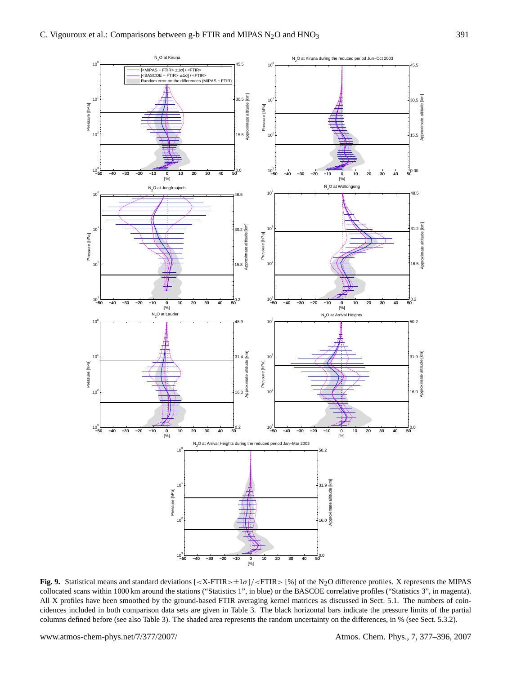

<span id="page-14-0"></span>**Fig. 9.** Statistical means and standard deviations [<X-FTIR>±1σ]/<FTIR> [%] of the N2O difference profiles. X represents the MIPAS collocated scans within 1000 km around the stations ("Statistics 1", in blue) or the BASCOE correlative profiles ("Statistics 3", in magenta). All X profiles have been smoothed by the ground-based FTIR averaging kernel matrices as discussed in Sect. [5.1.](#page-7-1) The numbers of coincidences included in both comparison data sets are given in Table [3.](#page-11-0) The black horizontal bars indicate the pressure limits of the partial columns defined before (see also Table [3\)](#page-11-0). The shaded area represents the random uncertainty on the differences, in % (see Sect. [5.3.2\)](#page-9-0).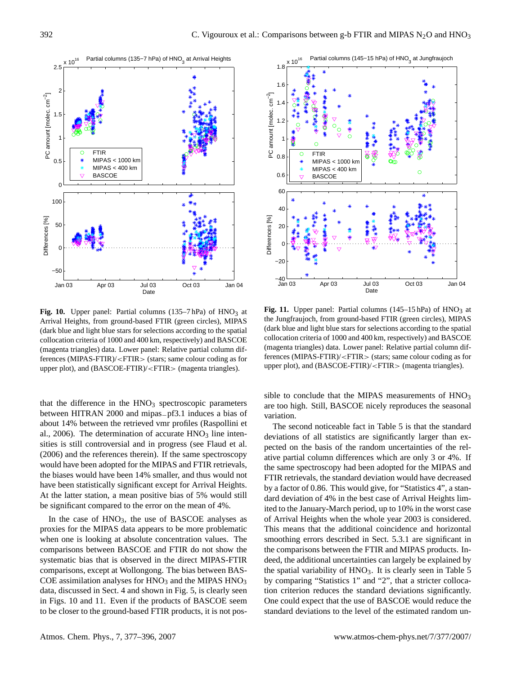

<span id="page-15-0"></span>**Fig. 10.** Upper panel: Partial columns  $(135-7)$  hPa) of HNO<sub>3</sub> at Arrival Heights, from ground-based FTIR (green circles), MIPAS (dark blue and light blue stars for selections according to the spatial collocation criteria of 1000 and 400 km, respectively) and BASCOE (magenta triangles) data. Lower panel: Relative partial column differences (MIPAS-FTIR)/<FTIR> (stars; same colour coding as for upper plot), and (BASCOE-FTIR)/<FTIR> (magenta triangles).

that the difference in the  $HNO<sub>3</sub>$  spectroscopic parameters between HITRAN 2000 and mipas−pf3.1 induces a bias of about 14% between the retrieved vmr profiles [\(Raspollini et](#page-19-5) [al.,](#page-19-5) [2006\)](#page-19-5). The determination of accurate  $HNO<sub>3</sub>$  line intensities is still controversial and in progress (see [Flaud et al.](#page-19-23) [\(2006\)](#page-19-23) and the references therein). If the same spectroscopy would have been adopted for the MIPAS and FTIR retrievals, the biases would have been 14% smaller, and thus would not have been statistically significant except for Arrival Heights. At the latter station, a mean positive bias of 5% would still be significant compared to the error on the mean of 4%.

In the case of  $HNO<sub>3</sub>$ , the use of BASCOE analyses as proxies for the MIPAS data appears to be more problematic when one is looking at absolute concentration values. The comparisons between BASCOE and FTIR do not show the systematic bias that is observed in the direct MIPAS-FTIR comparisons, except at Wollongong. The bias between BAS-COE assimilation analyses for  $HNO<sub>3</sub>$  and the MIPAS  $HNO<sub>3</sub>$ data, discussed in Sect. [4](#page-5-2) and shown in Fig. [5,](#page-7-0) is clearly seen in Figs. [10](#page-15-0) and [11.](#page-15-1) Even if the products of BASCOE seem to be closer to the ground-based FTIR products, it is not pos-



<span id="page-15-1"></span>**Fig. 11.** Upper panel: Partial columns  $(145-15 \text{ hPa})$  of  $HNO<sub>3</sub>$  at the Jungfraujoch, from ground-based FTIR (green circles), MIPAS (dark blue and light blue stars for selections according to the spatial collocation criteria of 1000 and 400 km, respectively) and BASCOE (magenta triangles) data. Lower panel: Relative partial column differences (MIPAS-FTIR)/<FTIR> (stars; same colour coding as for upper plot), and (BASCOE-FTIR)/<FTIR> (magenta triangles).

sible to conclude that the MIPAS measurements of HNO<sub>3</sub> are too high. Still, BASCOE nicely reproduces the seasonal variation.

The second noticeable fact in Table [5](#page-13-0) is that the standard deviations of all statistics are significantly larger than expected on the basis of the random uncertainties of the relative partial column differences which are only 3 or 4%. If the same spectroscopy had been adopted for the MIPAS and FTIR retrievals, the standard deviation would have decreased by a factor of 0.86. This would give, for "Statistics 4", a standard deviation of 4% in the best case of Arrival Heights limited to the January-March period, up to 10% in the worst case of Arrival Heights when the whole year 2003 is considered. This means that the additional coincidence and horizontal smoothing errors described in Sect. [5.3.1](#page-8-1) are significant in the comparisons between the FTIR and MIPAS products. Indeed, the additional uncertainties can largely be explained by the spatial variability of  $HNO<sub>3</sub>$ . It is clearly seen in Table [5](#page-13-0) by comparing "Statistics 1" and "2", that a stricter collocation criterion reduces the standard deviations significantly. One could expect that the use of BASCOE would reduce the standard deviations to the level of the estimated random un-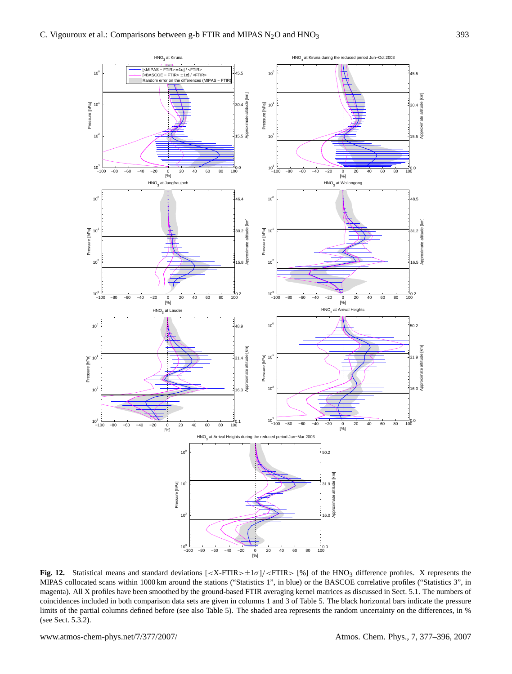

<span id="page-16-0"></span>**Fig. 12.** Statistical means and standard deviations  $\frac{\langle \langle \mathbf{x} \rangle + \mathbf{F} \mathbf{I} \mathbf{R} \rangle}{\langle \mathbf{F} \mathbf{I} \mathbf{R} \rangle}$  [%] of the HNO<sub>3</sub> difference profiles. X represents the MIPAS collocated scans within 1000 km around the stations ("Statistics 1", in blue) or the BASCOE correlative profiles ("Statistics 3", in magenta). All X profiles have been smoothed by the ground-based FTIR averaging kernel matrices as discussed in Sect. [5.1.](#page-7-1) The numbers of coincidences included in both comparison data sets are given in columns 1 and 3 of Table [5.](#page-13-0) The black horizontal bars indicate the pressure limits of the partial columns defined before (see also Table [5\)](#page-13-0). The shaded area represents the random uncertainty on the differences, in % (see Sect. [5.3.2\)](#page-9-0).

www.atmos-chem-phys.net/7/377/2007/ Atmos. Chem. Phys., 7, 377[–396,](#page-0-1) 2007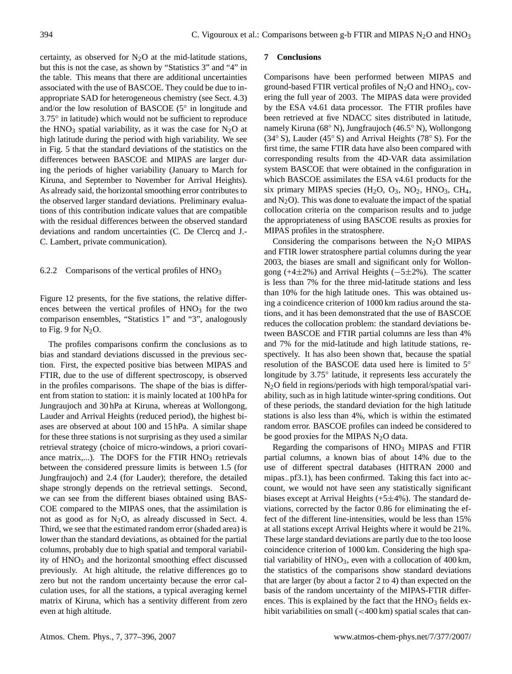certainty, as observed for  $N_2O$  at the mid-latitude stations, but this is not the case, as shown by "Statistics 3" and "4" in the table. This means that there are additional uncertainties associated with the use of BASCOE. They could be due to inappropriate SAD for heterogeneous chemistry (see Sect. [4.3\)](#page-6-1) and/or the low resolution of BASCOE (5◦ in longitude and 3.75◦ in latitude) which would not be sufficient to reproduce the HNO<sub>3</sub> spatial variability, as it was the case for  $N_2O$  at high latitude during the period with high variability. We see in Fig. [5](#page-7-0) that the standard deviations of the statistics on the differences between BASCOE and MIPAS are larger during the periods of higher variability (January to March for Kiruna, and September to November for Arrival Heights). As already said, the horizontal smoothing error contributes to the observed larger standard deviations. Preliminary evaluations of this contribution indicate values that are compatible with the residual differences between the observed standard deviations and random uncertainties (C. De Clercq and J.- C. Lambert, private communication).

#### 6.2.2 Comparisons of the vertical profiles of  $HNO<sub>3</sub>$

Figure [12](#page-16-0) presents, for the five stations, the relative differences between the vertical profiles of  $HNO<sub>3</sub>$  for the two comparison ensembles, "Statistics 1" and "3", analogously to Fig. [9](#page-14-0) for  $N_2O$ .

The profiles comparisons confirm the conclusions as to bias and standard deviations discussed in the previous section. First, the expected positive bias between MIPAS and FTIR, due to the use of different spectroscopy, is observed in the profiles comparisons. The shape of the bias is different from station to station: it is mainly located at 100 hPa for Jungraujoch and 30 hPa at Kiruna, whereas at Wollongong, Lauder and Arrival Heights (reduced period), the highest biases are observed at about 100 and 15 hPa. A similar shape for these three stations is not surprising as they used a similar retrieval strategy (choice of micro-windows, a priori covariance matrix,...). The DOFS for the FTIR  $HNO<sub>3</sub>$  retrievals between the considered pressure limits is between 1.5 (for Jungfraujoch) and 2.4 (for Lauder); therefore, the detailed shape strongly depends on the retrieval settings. Second, we can see from the different biases obtained using BAS-COE compared to the MIPAS ones, that the assimilation is not as good as for  $N_2O$ , as already discussed in Sect. [4.](#page-5-2) Third, we see that the estimated random error (shaded area) is lower than the standard deviations, as obtained for the partial columns, probably due to high spatial and temporal variability of  $HNO<sub>3</sub>$  and the horizontal smoothing effect discussed previously. At high altitude, the relative differences go to zero but not the random uncertainty because the error calculation uses, for all the stations, a typical averaging kernel matrix of Kiruna, which has a sentivity different from zero even at high altitude.

## **7 Conclusions**

Comparisons have been performed between MIPAS and ground-based FTIR vertical profiles of  $N_2O$  and  $HNO_3$ , covering the full year of 2003. The MIPAS data were provided by the ESA v4.61 data processor. The FTIR profiles have been retrieved at five NDACC sites distributed in latitude, namely Kiruna (68◦ N), Jungfraujoch (46.5◦ N), Wollongong (34◦ S), Lauder (45◦ S) and Arrival Heights (78◦ S). For the first time, the same FTIR data have also been compared with corresponding results from the 4D-VAR data assimilation system BASCOE that were obtained in the configuration in which BASCOE assimilates the ESA v4.61 products for the six primary MIPAS species  $(H_2O, O_3, NO_2, HNO_3, CH_4,$ and  $N_2O$ ). This was done to evaluate the impact of the spatial collocation criteria on the comparison results and to judge the appropriateness of using BASCOE results as proxies for MIPAS profiles in the stratosphere.

Considering the comparisons between the  $N_2O$  MIPAS and FTIR lower stratosphere partial columns during the year 2003, the biases are small and significant only for Wollongong (+4±2%) and Arrival Heights (−5±2%). The scatter is less than 7% for the three mid-latitude stations and less than 10% for the high latitude ones. This was obtained using a coindicence criterion of 1000 km radius around the stations, and it has been demonstrated that the use of BASCOE reduces the collocation problem: the standard deviations between BASCOE and FTIR partial columns are less than 4% and 7% for the mid-latitude and high latitude stations, respectively. It has also been shown that, because the spatial resolution of the BASCOE data used here is limited to 5◦ longitude by 3.75◦ latitude, it represents less accurately the N<sub>2</sub>O field in regions/periods with high temporal/spatial variability, such as in high latitude winter-spring conditions. Out of these periods, the standard deviation for the high latitude stations is also less than 4%, which is within the estimated random error. BASCOE profiles can indeed be considered to be good proxies for the MIPAS  $N_2O$  data.

Regarding the comparisons of  $HNO<sub>3</sub>$  MIPAS and FTIR partial columns, a known bias of about 14% due to the use of different spectral databases (HITRAN 2000 and mipas−pf3.1), has been confirmed. Taking this fact into account, we would not have seen any statistically significant biases except at Arrival Heights  $(+5\pm4\%)$ . The standard deviations, corrected by the factor 0.86 for eliminating the effect of the different line-intensities, would be less than 15% at all stations except Arrival Heights where it would be 21%. These large standard deviations are partly due to the too loose coincidence criterion of 1000 km. Considering the high spatial variability of  $HNO<sub>3</sub>$ , even with a collocation of  $400 \text{ km}$ , the statistics of the comparisons show standard deviations that are larger (by about a factor 2 to 4) than expected on the basis of the random uncertainty of the MIPAS-FTIR differences. This is explained by the fact that the  $HNO<sub>3</sub>$  fields exhibit variabilities on small (<400 km) spatial scales that can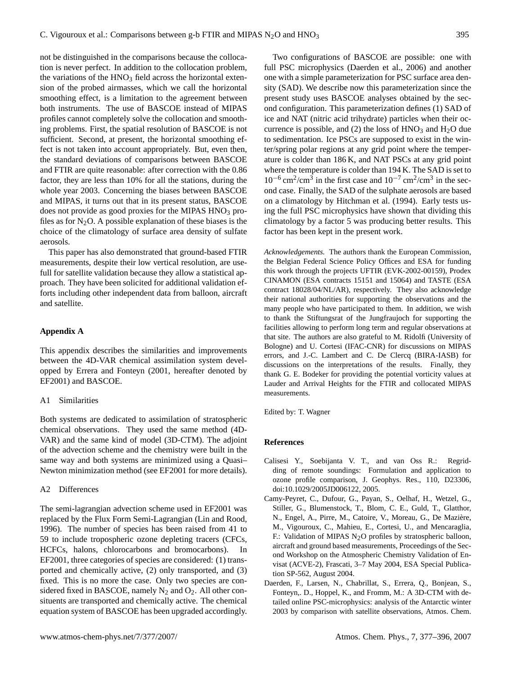not be distinguished in the comparisons because the collocation is never perfect. In addition to the collocation problem, the variations of the  $HNO<sub>3</sub>$  field across the horizontal extension of the probed airmasses, which we call the horizontal smoothing effect, is a limitation to the agreement between both instruments. The use of BASCOE instead of MIPAS profiles cannot completely solve the collocation and smoothing problems. First, the spatial resolution of BASCOE is not sufficient. Second, at present, the horizontal smoothing effect is not taken into account appropriately. But, even then, the standard deviations of comparisons between BASCOE and FTIR are quite reasonable: after correction with the 0.86 factor, they are less than 10% for all the stations, during the whole year 2003. Concerning the biases between BASCOE and MIPAS, it turns out that in its present status, BASCOE does not provide as good proxies for the MIPAS  $HNO<sub>3</sub>$  profiles as for  $N_2O$ . A possible explanation of these biases is the choice of the climatology of surface area density of sulfate aerosols.

This paper has also demonstrated that ground-based FTIR measurements, despite their low vertical resolution, are usefull for satellite validation because they allow a statistical approach. They have been solicited for additional validation efforts including other independent data from balloon, aircraft and satellite.

## **Appendix A**

This appendix describes the similarities and improvements between the 4D-VAR chemical assimilation system developped by Errera and Fonteyn (2001, hereafter denoted by EF2001) and BASCOE.

# A1 Similarities

Both systems are dedicated to assimilation of stratospheric chemical observations. They used the same method (4D-VAR) and the same kind of model (3D-CTM). The adjoint of the advection scheme and the chemistry were built in the same way and both systems are minimized using a Quasi– Newton minimization method (see EF2001 for more details).

#### A2 Differences

The semi-lagrangian advection scheme used in EF2001 was replaced by the Flux Form Semi-Lagrangian [\(Lin and Rood,](#page-19-24) [1996\)](#page-19-24). The number of species has been raised from 41 to 59 to include tropospheric ozone depleting tracers (CFCs, HCFCs, halons, chlorocarbons and bromocarbons). EF2001, three categories of species are considered: (1) transported and chemically active, (2) only transported, and (3) fixed. This is no more the case. Only two species are considered fixed in BASCOE, namely  $N_2$  and  $O_2$ . All other consituents are transported and chemically active. The chemical equation system of BASCOE has been upgraded accordingly.

Two configurations of BASCOE are possible: one with full PSC microphysics [\(Daerden et al.,](#page-18-1) [2006\)](#page-18-1) and another one with a simple parameterization for PSC surface area density (SAD). We describe now this parameterization since the present study uses BASCOE analyses obtained by the second configuration. This parameterization defines (1) SAD of ice and NAT (nitric acid trihydrate) particles when their occurrence is possible, and (2) the loss of  $HNO<sub>3</sub>$  and  $H<sub>2</sub>O$  due to sedimentation. Ice PSCs are supposed to exist in the winter/spring polar regions at any grid point where the temperature is colder than 186 K, and NAT PSCs at any grid point where the temperature is colder than 194 K. The SAD is set to  $10^{-6}$  cm<sup>2</sup>/cm<sup>3</sup> in the first case and  $10^{-7}$  cm<sup>2</sup>/cm<sup>3</sup> in the second case. Finally, the SAD of the sulphate aerosols are based on a climatology by [Hitchman et al.](#page-19-25) [\(1994\)](#page-19-25). Early tests using the full PSC microphysics have shown that dividing this climatology by a factor 5 was producing better results. This factor has been kept in the present work.

*Acknowledgements.* The authors thank the European Commission, the Belgian Federal Science Policy Offices and ESA for funding this work through the projects UFTIR (EVK-2002-00159), Prodex CINAMON (ESA contracts 15151 and 15064) and TASTE (ESA contract 18028/04/NL/AR), respectively. They also acknowledge their national authorities for supporting the observations and the many people who have participated to them. In addition, we wish to thank the Stiftungsrat of the Jungfraujoch for supporting the facilities allowing to perform long term and regular observations at that site. The authors are also grateful to M. Ridolfi (University of Bologne) and U. Cortesi (IFAC-CNR) for discussions on MIPAS errors, and J.-C. Lambert and C. De Clercq (BIRA-IASB) for discussions on the interpretations of the results. Finally, they thank G. E. Bodeker for providing the potential vorticity values at Lauder and Arrival Heights for the FTIR and collocated MIPAS measurements.

Edited by: T. Wagner

#### **References**

- <span id="page-18-2"></span>Calisesi Y., Soebijanta V. T., and van Oss R.: Regridding of remote soundings: Formulation and application to ozone profile comparison, J. Geophys. Res., 110, D23306, doi:10.1029/2005JD006122, 2005.
- <span id="page-18-0"></span>Camy-Peyret, C., Dufour, G., Payan, S., Oelhaf, H., Wetzel, G., Stiller, G., Blumenstock, T., Blom, C. E., Guld, T., Glatthor, N., Engel, A., Pirre, M., Catoire, V., Moreau, G., De Mazière, M., Vigouroux, C., Mahieu, E., Cortesi, U., and Mencaraglia, F.: Validation of MIPAS  $N_2O$  profiles by stratospheric balloon, aircraft and ground based measurements, Proceedings of the Second Workshop on the Atmospheric Chemistry Validation of Envisat (ACVE-2), Frascati, 3–7 May 2004, ESA Special Publication SP-562, August 2004.
- <span id="page-18-1"></span>Daerden, F., Larsen, N., Chabrillat, S., Errera, Q., Bonjean, S., Fonteyn,. D., Hoppel, K., and Fromm, M.: A 3D-CTM with detailed online PSC-microphysics: analysis of the Antarctic winter 2003 by comparison with satellite observations, Atmos. Chem.